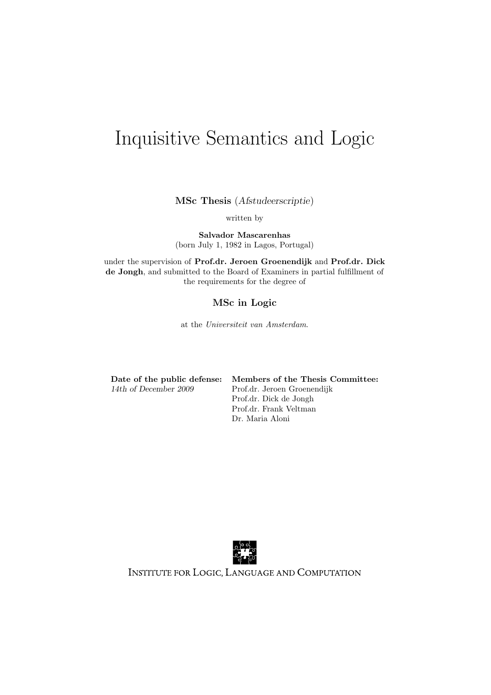# Inquisitive Semantics and Logic

MSc Thesis (Afstudeerscriptie)

written by

Salvador Mascarenhas (born July 1, 1982 in Lagos, Portugal)

under the supervision of Prof.dr. Jeroen Groenendijk and Prof.dr. Dick de Jongh, and submitted to the Board of Examiners in partial fulfillment of the requirements for the degree of

## MSc in Logic

at the Universiteit van Amsterdam.

|                       | Date of the public defense: Members of the Thesis Committee: |
|-----------------------|--------------------------------------------------------------|
| 14th of December 2009 | Prof.dr. Jeroen Groenendijk                                  |
|                       | Prof.dr. Dick de Jongh                                       |
|                       | Prof.dr. Frank Veltman                                       |
|                       | Dr. Maria Aloni                                              |



INSTITUTE FOR LOGIC, LANGUAGE AND COMPUTATION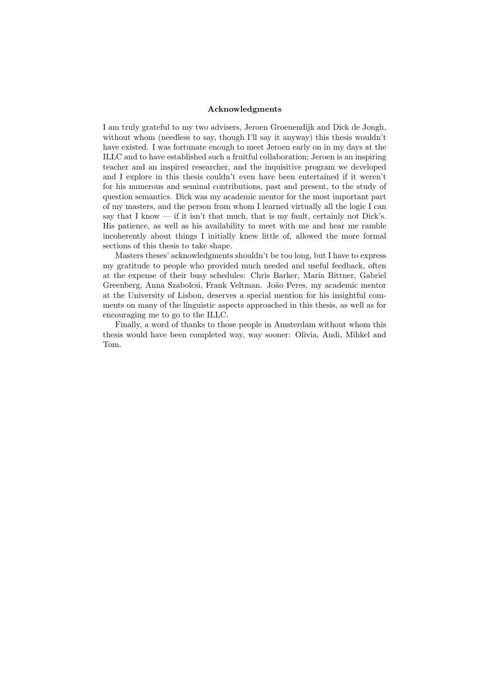#### Acknowledgments

I am truly grateful to my two advisers, Jeroen Groenendijk and Dick de Jongh, without whom (needless to say, though I'll say it anyway) this thesis wouldn't have existed. I was fortunate enough to meet Jeroen early on in my days at the ILLC and to have established such a fruitful collaboration; Jeroen is an inspiring teacher and an inspired researcher, and the inquisitive program we developed and I explore in this thesis couldn't even have been entertained if it weren't for his numerous and seminal contributions, past and present, to the study of question semantics. Dick was my academic mentor for the most important part of my masters, and the person from whom I learned virtually all the logic I can say that I know  $-$  if it isn't that much, that is my fault, certainly not Dick's. His patience, as well as his availability to meet with me and hear me ramble incoherently about things I initially knew little of, allowed the more formal sections of this thesis to take shape.

Masters theses' acknowledgments shouldn't be too long, but I have to express my gratitude to people who provided much needed and useful feedback, often at the expense of their busy schedules: Chris Barker, Maria Bittner, Gabriel Greenberg, Anna Szabolcsi, Frank Veltman. João Peres, my academic mentor at the University of Lisbon, deserves a special mention for his insightful comments on many of the linguistic aspects approached in this thesis, as well as for encouraging me to go to the ILLC.

Finally, a word of thanks to those people in Amsterdam without whom this thesis would have been completed way, way sooner: Olivia, Andi, Mihkel and Tom.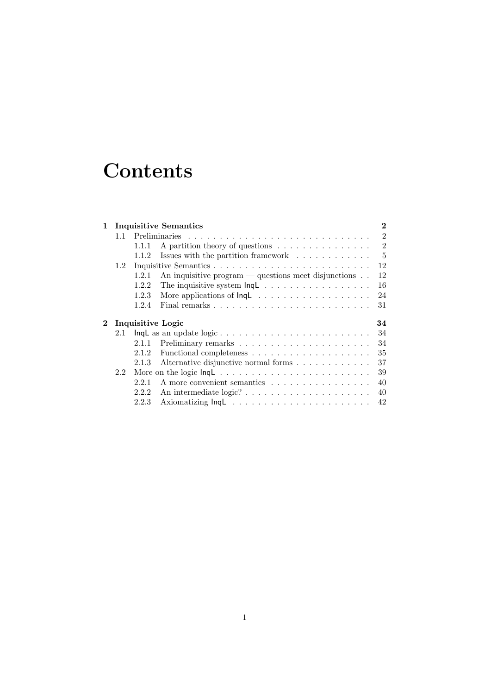# **Contents**

| 1          | <b>Inquisitive Semantics</b> |                         |                                                                                                    |                |  |  |  |
|------------|------------------------------|-------------------------|----------------------------------------------------------------------------------------------------|----------------|--|--|--|
| 1.1        |                              |                         |                                                                                                    |                |  |  |  |
|            |                              | 1.1.1                   | A partition theory of questions                                                                    | $\overline{2}$ |  |  |  |
|            |                              | 1.1.2                   | Issues with the partition framework                                                                | $\overline{5}$ |  |  |  |
|            | 1.2                          |                         |                                                                                                    | 12             |  |  |  |
|            |                              | 1.2.1                   | An inquisitive program — questions meet disjunctions $\ldots$                                      | 12             |  |  |  |
|            |                              | 1.2.2                   | The inquisitive system $\textsf{Inql} \ldots \ldots \ldots \ldots \ldots$                          | 16             |  |  |  |
|            |                              | 1.2.3                   |                                                                                                    | 24             |  |  |  |
|            |                              | 1.2.4                   |                                                                                                    | 31             |  |  |  |
| $\bf{2}^-$ |                              | Inquisitive Logic<br>34 |                                                                                                    |                |  |  |  |
|            | 2.1                          |                         | $\mathsf{Inql.}$ as an update $\text{logic} \dots \dots \dots \dots \dots \dots \dots \dots \dots$ |                |  |  |  |
|            |                              | 2.1.1                   |                                                                                                    | 34             |  |  |  |
|            |                              | 2.1.2                   |                                                                                                    | 35             |  |  |  |
|            |                              | 2.1.3                   | Alternative disjunctive normal forms                                                               | 37             |  |  |  |
|            | 2.2                          |                         | More on the logic $\text{Inql} \ldots \ldots \ldots \ldots \ldots \ldots \ldots$                   | 39             |  |  |  |
|            |                              | 2.2.1                   | A more convenient semantics                                                                        | 40             |  |  |  |
|            |                              | 2.2.2                   |                                                                                                    | 40             |  |  |  |
|            |                              | 2.2.3                   |                                                                                                    | 42             |  |  |  |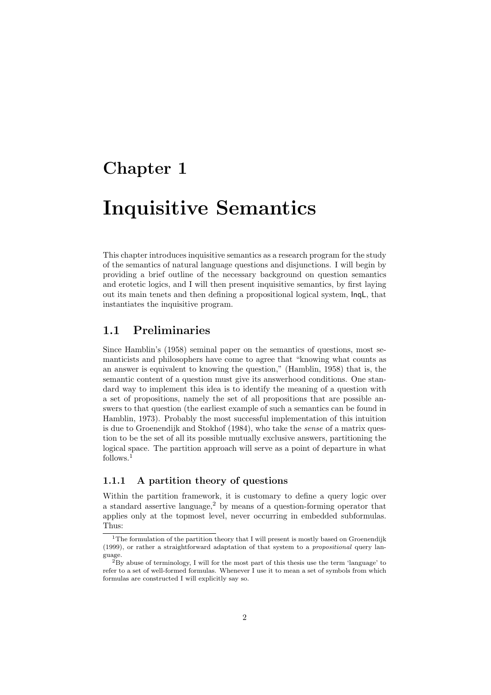## Chapter 1

## Inquisitive Semantics

This chapter introduces inquisitive semantics as a research program for the study of the semantics of natural language questions and disjunctions. I will begin by providing a brief outline of the necessary background on question semantics and erotetic logics, and I will then present inquisitive semantics, by first laying out its main tenets and then defining a propositional logical system, InqL, that instantiates the inquisitive program.

### 1.1 Preliminaries

Since Hamblin's (1958) seminal paper on the semantics of questions, most semanticists and philosophers have come to agree that "knowing what counts as an answer is equivalent to knowing the question," (Hamblin, 1958) that is, the semantic content of a question must give its answerhood conditions. One standard way to implement this idea is to identify the meaning of a question with a set of propositions, namely the set of all propositions that are possible answers to that question (the earliest example of such a semantics can be found in Hamblin, 1973). Probably the most successful implementation of this intuition is due to Groenendijk and Stokhof (1984), who take the sense of a matrix question to be the set of all its possible mutually exclusive answers, partitioning the logical space. The partition approach will serve as a point of departure in what follows.<sup>1</sup>

#### 1.1.1 A partition theory of questions

Within the partition framework, it is customary to define a query logic over a standard assertive language,<sup>2</sup> by means of a question-forming operator that applies only at the topmost level, never occurring in embedded subformulas. Thus:

<sup>&</sup>lt;sup>1</sup>The formulation of the partition theory that I will present is mostly based on Groenendijk (1999), or rather a straightforward adaptation of that system to a propositional query language.

<sup>2</sup>By abuse of terminology, I will for the most part of this thesis use the term 'language' to refer to a set of well-formed formulas. Whenever I use it to mean a set of symbols from which formulas are constructed I will explicitly say so.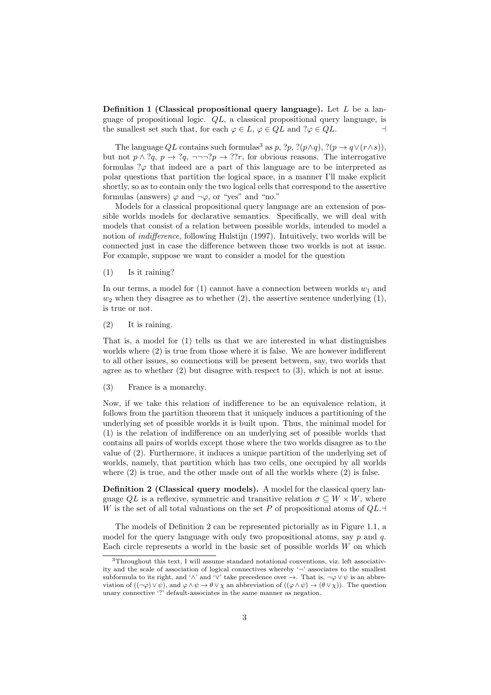**Definition 1 (Classical propositional query language).** Let  $L$  be a language of propositional logic.  $QL$ , a classical propositional query language, is the smallest set such that, for each  $\varphi \in L$ ,  $\varphi \in QL$  and  $?\varphi \in QL$ .

The language QL contains such formulas<sup>3</sup> as p, ?p, ?(p∧q), ?(p  $\rightarrow$  q $\vee$ (r∧s)), but not  $p \wedge ?q$ ,  $p \rightarrow ?q$ ,  $\neg \neg \neg ?p \rightarrow ??r$ , for obvious reasons. The interrogative formulas  $\partial \varphi$  that indeed are a part of this language are to be interpreted as polar questions that partition the logical space, in a manner I'll make explicit shortly, so as to contain only the two logical cells that correspond to the assertive formulas (answers)  $\varphi$  and  $\neg \varphi$ , or "yes" and "no."

Models for a classical propositional query language are an extension of possible worlds models for declarative semantics. Specifically, we will deal with models that consist of a relation between possible worlds, intended to model a notion of *indifference*, following Hulstijn (1997). Intuitively, two worlds will be connected just in case the difference between those two worlds is not at issue. For example, suppose we want to consider a model for the question

(1) Is it raining?

In our terms, a model for  $(1)$  cannot have a connection between worlds  $w_1$  and  $w_2$  when they disagree as to whether (2), the assertive sentence underlying (1), is true or not.

(2) It is raining.

That is, a model for (1) tells us that we are interested in what distinguishes worlds where (2) is true from those where it is false. We are however indifferent to all other issues, so connections will be present between, say, two worlds that agree as to whether  $(2)$  but disagree with respect to  $(3)$ , which is not at issue.

(3) France is a monarchy.

Now, if we take this relation of indifference to be an equivalence relation, it follows from the partition theorem that it uniquely induces a partitioning of the underlying set of possible worlds it is built upon. Thus, the minimal model for (1) is the relation of indifference on an underlying set of possible worlds that contains all pairs of worlds except those where the two worlds disagree as to the value of (2). Furthermore, it induces a unique partition of the underlying set of worlds, namely, that partition which has two cells, one occupied by all worlds where  $(2)$  is true, and the other made out of all the worlds where  $(2)$  is false.

Definition 2 (Classical query models). A model for the classical query language  $QL$  is a reflexive, symmetric and transitive relation  $\sigma \subseteq W \times W$ , where W is the set of all total valuations on the set P of propositional atoms of  $QL$ .

The models of Definition 2 can be represented pictorially as in Figure 1.1, a model for the query language with only two propositional atoms, say  $p$  and  $q$ . Each circle represents a world in the basic set of possible worlds  $W$  on which

<sup>3</sup>Throughout this text, I will assume standard notational conventions, viz. left associativity and the scale of association of logical connectives whereby '¬' associates to the smallest subformula to its right, and ' $\wedge$ ' and ' $\vee$ ' take precedence over  $\stackrel{\sim}{\rightarrow}$ . That is,  $\neg \varphi \vee \psi$  is an abbreviation of  $((\neg \varphi) \vee \psi)$ , and  $\varphi \wedge \psi \to \theta \vee \chi$  an abbreviation of  $((\varphi \wedge \psi) \to (\theta \vee \chi))$ . The question unary connective '?' default-associates in the same manner as negation.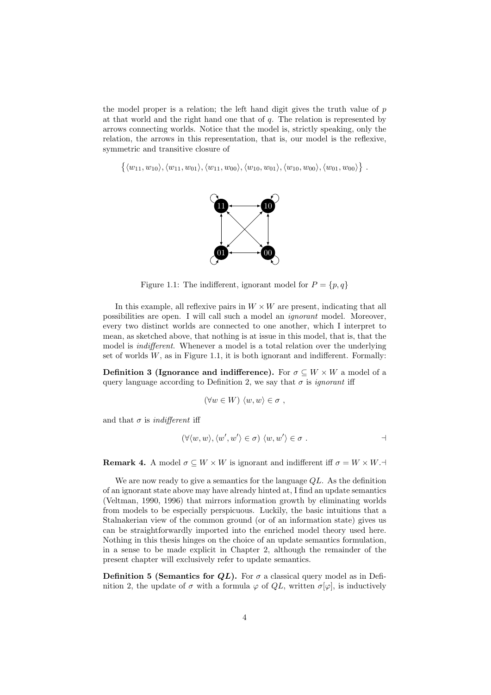the model proper is a relation; the left hand digit gives the truth value of  $p$ at that world and the right hand one that of  $q$ . The relation is represented by arrows connecting worlds. Notice that the model is, strictly speaking, only the relation, the arrows in this representation, that is, our model is the reflexive, symmetric and transitive closure of

$$
\{\langle w_{11}, w_{10}\rangle, \langle w_{11}, w_{01}\rangle, \langle w_{11}, w_{00}\rangle, \langle w_{10}, w_{01}\rangle, \langle w_{10}, w_{00}\rangle, \langle w_{01}, w_{00}\rangle\}.
$$



Figure 1.1: The indifferent, ignorant model for  $P = \{p, q\}$ 

In this example, all reflexive pairs in  $W \times W$  are present, indicating that all possibilities are open. I will call such a model an ignorant model. Moreover, every two distinct worlds are connected to one another, which I interpret to mean, as sketched above, that nothing is at issue in this model, that is, that the model is indifferent. Whenever a model is a total relation over the underlying set of worlds  $W$ , as in Figure 1.1, it is both ignorant and indifferent. Formally:

**Definition 3 (Ignorance and indifference).** For  $\sigma \subseteq W \times W$  a model of a query language according to Definition 2, we say that  $\sigma$  is *ignorant* iff

$$
(\forall w \in W) \langle w, w \rangle \in \sigma ,
$$

and that  $\sigma$  is *indifferent* iff

$$
(\forall \langle w, w \rangle, \langle w', w' \rangle \in \sigma) \langle w, w' \rangle \in \sigma . \qquad \qquad \Box
$$

**Remark 4.** A model  $\sigma \subseteq W \times W$  is ignorant and indifferent iff  $\sigma = W \times W$ .

We are now ready to give a semantics for the language  $QL$ . As the definition of an ignorant state above may have already hinted at, I find an update semantics (Veltman, 1990, 1996) that mirrors information growth by eliminating worlds from models to be especially perspicuous. Luckily, the basic intuitions that a Stalnakerian view of the common ground (or of an information state) gives us can be straightforwardly imported into the enriched model theory used here. Nothing in this thesis hinges on the choice of an update semantics formulation, in a sense to be made explicit in Chapter 2, although the remainder of the present chapter will exclusively refer to update semantics.

Definition 5 (Semantics for  $QL$ ). For  $\sigma$  a classical query model as in Definition 2, the update of  $\sigma$  with a formula  $\varphi$  of  $QL$ , written  $\sigma[\varphi]$ , is inductively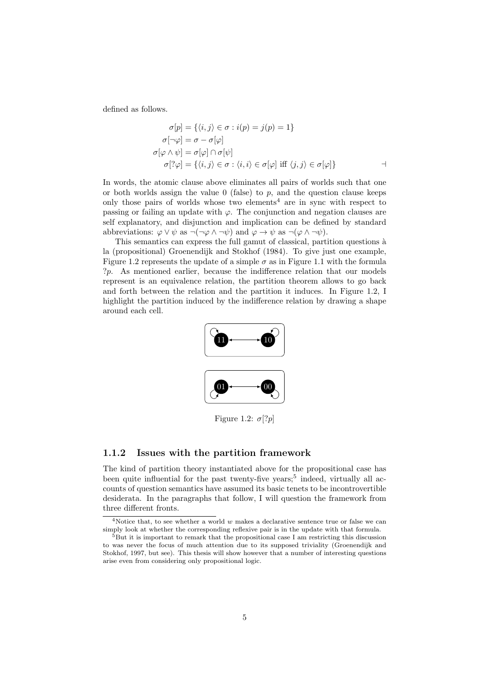defined as follows.

$$
\sigma[p] = \{ \langle i, j \rangle \in \sigma : i(p) = j(p) = 1 \}
$$
  
\n
$$
\sigma[\neg \varphi] = \sigma - \sigma[\varphi]
$$
  
\n
$$
\sigma[\varphi \land \psi] = \sigma[\varphi] \cap \sigma[\psi]
$$
  
\n
$$
\sigma[?\varphi] = \{ \langle i, j \rangle \in \sigma : \langle i, i \rangle \in \sigma[\varphi] \text{ iff } \langle j, j \rangle \in \sigma[\varphi] \}
$$

In words, the atomic clause above eliminates all pairs of worlds such that one or both worlds assign the value  $0$  (false) to p, and the question clause keeps only those pairs of worlds whose two elements<sup>4</sup> are in sync with respect to passing or failing an update with  $\varphi$ . The conjunction and negation clauses are self explanatory, and disjunction and implication can be defined by standard abbreviations:  $\varphi \vee \psi$  as  $\neg(\neg \varphi \wedge \neg \psi)$  and  $\varphi \rightarrow \psi$  as  $\neg(\varphi \wedge \neg \psi)$ .

This semantics can express the full gamut of classical, partition questions à la (propositional) Groenendijk and Stokhof (1984). To give just one example, Figure 1.2 represents the update of a simple  $\sigma$  as in Figure 1.1 with the formula  $?p.$  As mentioned earlier, because the indifference relation that our models represent is an equivalence relation, the partition theorem allows to go back and forth between the relation and the partition it induces. In Figure 1.2, I highlight the partition induced by the indifference relation by drawing a shape around each cell.



Figure 1.2:  $\sigma$ [?*p*]

#### 1.1.2 Issues with the partition framework

The kind of partition theory instantiated above for the propositional case has been quite influential for the past twenty-five years;<sup>5</sup> indeed, virtually all accounts of question semantics have assumed its basic tenets to be incontrovertible desiderata. In the paragraphs that follow, I will question the framework from three different fronts.

<sup>&</sup>lt;sup>4</sup>Notice that, to see whether a world  $w$  makes a declarative sentence true or false we can simply look at whether the corresponding reflexive pair is in the update with that formula.

 $5$ But it is important to remark that the propositional case I am restricting this discussion to was never the focus of much attention due to its supposed triviality (Groenendijk and Stokhof, 1997, but see). This thesis will show however that a number of interesting questions arise even from considering only propositional logic.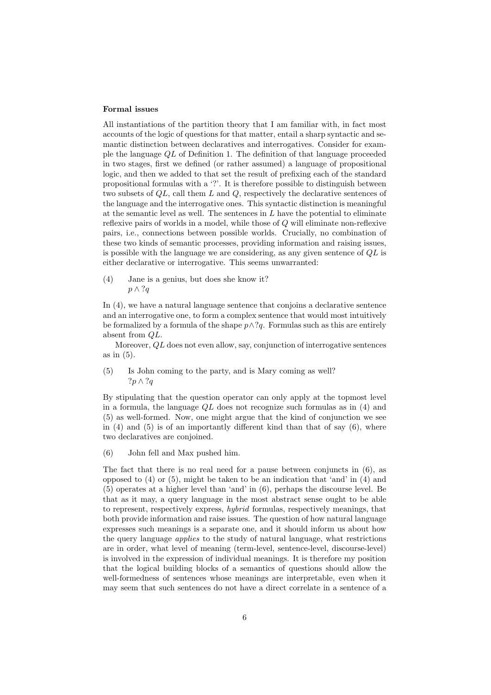#### Formal issues

All instantiations of the partition theory that I am familiar with, in fact most accounts of the logic of questions for that matter, entail a sharp syntactic and semantic distinction between declaratives and interrogatives. Consider for example the language  $QL$  of Definition 1. The definition of that language proceeded in two stages, first we defined (or rather assumed) a language of propositional logic, and then we added to that set the result of prefixing each of the standard propositional formulas with a '?'. It is therefore possible to distinguish between two subsets of  $QL$ , call them  $L$  and  $Q$ , respectively the declarative sentences of the language and the interrogative ones. This syntactic distinction is meaningful at the semantic level as well. The sentences in  $L$  have the potential to eliminate reflexive pairs of worlds in a model, while those of Q will eliminate non-reflexive pairs, i.e., connections between possible worlds. Crucially, no combination of these two kinds of semantic processes, providing information and raising issues, is possible with the language we are considering, as any given sentence of  $QL$  is either declarative or interrogative. This seems unwarranted:

(4) Jane is a genius, but does she know it?  $p \wedge ?q$ 

In (4), we have a natural language sentence that conjoins a declarative sentence and an interrogative one, to form a complex sentence that would most intuitively be formalized by a formula of the shape  $p \wedge ?q$ . Formulas such as this are entirely absent from QL.

Moreover, QL does not even allow, say, conjunction of interrogative sentences as in  $(5)$ .

(5) Is John coming to the party, and is Mary coming as well?  $?p \wedge ?q$ 

By stipulating that the question operator can only apply at the topmost level in a formula, the language  $QL$  does not recognize such formulas as in (4) and (5) as well-formed. Now, one might argue that the kind of conjunction we see in  $(4)$  and  $(5)$  is of an importantly different kind than that of say  $(6)$ , where two declaratives are conjoined.

(6) John fell and Max pushed him.

The fact that there is no real need for a pause between conjuncts in (6), as opposed to  $(4)$  or  $(5)$ , might be taken to be an indication that 'and' in  $(4)$  and (5) operates at a higher level than 'and' in (6), perhaps the discourse level. Be that as it may, a query language in the most abstract sense ought to be able to represent, respectively express, hybrid formulas, respectively meanings, that both provide information and raise issues. The question of how natural language expresses such meanings is a separate one, and it should inform us about how the query language applies to the study of natural language, what restrictions are in order, what level of meaning (term-level, sentence-level, discourse-level) is involved in the expression of individual meanings. It is therefore my position that the logical building blocks of a semantics of questions should allow the well-formedness of sentences whose meanings are interpretable, even when it may seem that such sentences do not have a direct correlate in a sentence of a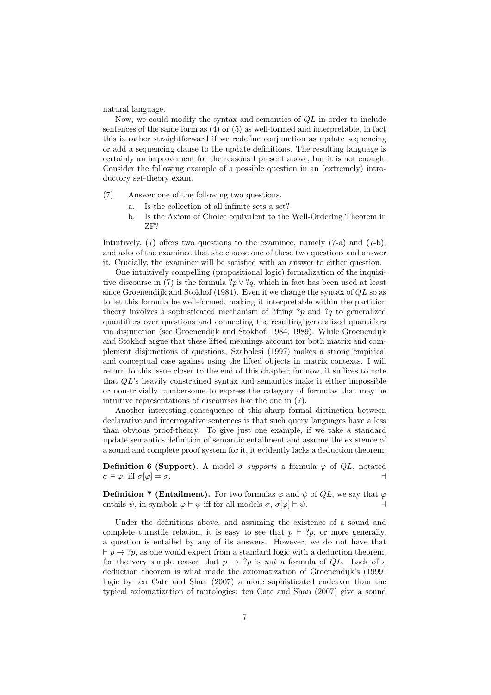natural language.

Now, we could modify the syntax and semantics of QL in order to include sentences of the same form as (4) or (5) as well-formed and interpretable, in fact this is rather straightforward if we redefine conjunction as update sequencing or add a sequencing clause to the update definitions. The resulting language is certainly an improvement for the reasons I present above, but it is not enough. Consider the following example of a possible question in an (extremely) introductory set-theory exam.

- (7) Answer one of the following two questions.
	- a. Is the collection of all infinite sets a set?
	- b. Is the Axiom of Choice equivalent to the Well-Ordering Theorem in ZF?

Intuitively, (7) offers two questions to the examinee, namely (7-a) and (7-b), and asks of the examinee that she choose one of these two questions and answer it. Crucially, the examiner will be satisfied with an answer to either question.

One intuitively compelling (propositional logic) formalization of the inquisitive discourse in (7) is the formula  $?p \vee ?q$ , which in fact has been used at least since Groenendijk and Stokhof (1984). Even if we change the syntax of  $QL$  so as to let this formula be well-formed, making it interpretable within the partition theory involves a sophisticated mechanism of lifting  $?p$  and  $?q$  to generalized quantifiers over questions and connecting the resulting generalized quantifiers via disjunction (see Groenendijk and Stokhof, 1984, 1989). While Groenendijk and Stokhof argue that these lifted meanings account for both matrix and complement disjunctions of questions, Szabolcsi (1997) makes a strong empirical and conceptual case against using the lifted objects in matrix contexts. I will return to this issue closer to the end of this chapter; for now, it suffices to note that  $QL$ 's heavily constrained syntax and semantics make it either impossible or non-trivially cumbersome to express the category of formulas that may be intuitive representations of discourses like the one in (7).

Another interesting consequence of this sharp formal distinction between declarative and interrogative sentences is that such query languages have a less than obvious proof-theory. To give just one example, if we take a standard update semantics definition of semantic entailment and assume the existence of a sound and complete proof system for it, it evidently lacks a deduction theorem.

**Definition 6 (Support).** A model  $\sigma$  supports a formula  $\varphi$  of  $QL$ , notated  $\sigma \vDash \varphi$ , iff  $\sigma[\varphi] = \sigma$ .

**Definition 7 (Entailment).** For two formulas  $\varphi$  and  $\psi$  of  $QL$ , we say that  $\varphi$ entails  $\psi$ , in symbols  $\varphi \models \psi$  iff for all models  $\sigma$ ,  $\sigma[\varphi] \models \psi$ .

Under the definitions above, and assuming the existence of a sound and complete turnstile relation, it is easy to see that  $p \vdash ?p$ , or more generally, a question is entailed by any of its answers. However, we do not have that  $\vdash p \rightarrow ?p$ , as one would expect from a standard logic with a deduction theorem, for the very simple reason that  $p \to ?p$  is not a formula of QL. Lack of a deduction theorem is what made the axiomatization of Groenendijk's (1999) logic by ten Cate and Shan (2007) a more sophisticated endeavor than the typical axiomatization of tautologies: ten Cate and Shan (2007) give a sound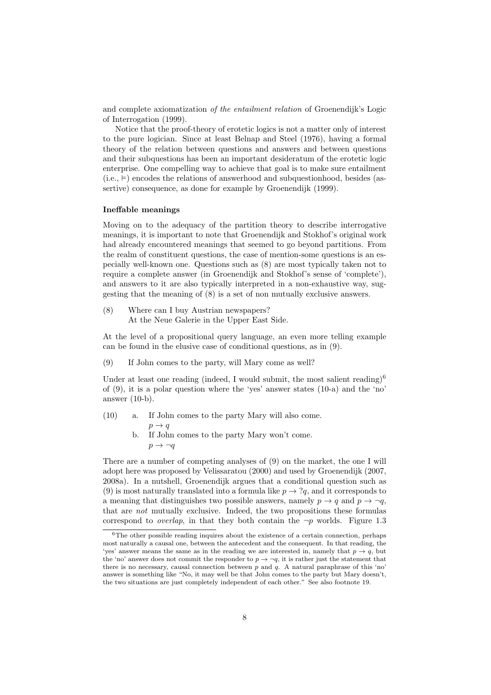and complete axiomatization of the entailment relation of Groenendijk's Logic of Interrogation (1999).

Notice that the proof-theory of erotetic logics is not a matter only of interest to the pure logician. Since at least Belnap and Steel (1976), having a formal theory of the relation between questions and answers and between questions and their subquestions has been an important desideratum of the erotetic logic enterprise. One compelling way to achieve that goal is to make sure entailment  $(i.e., \vDash)$  encodes the relations of answerhood and subquestionhood, besides (assertive) consequence, as done for example by Groenendijk (1999).

#### Ineffable meanings

Moving on to the adequacy of the partition theory to describe interrogative meanings, it is important to note that Groenendijk and Stokhof's original work had already encountered meanings that seemed to go beyond partitions. From the realm of constituent questions, the case of mention-some questions is an especially well-known one. Questions such as (8) are most typically taken not to require a complete answer (in Groenendijk and Stokhof's sense of 'complete'), and answers to it are also typically interpreted in a non-exhaustive way, suggesting that the meaning of (8) is a set of non mutually exclusive answers.

(8) Where can I buy Austrian newspapers? At the Neue Galerie in the Upper East Side.

At the level of a propositional query language, an even more telling example can be found in the elusive case of conditional questions, as in (9).

(9) If John comes to the party, will Mary come as well?

Under at least one reading (indeed, I would submit, the most salient reading)<sup>6</sup> of  $(9)$ , it is a polar question where the 'yes' answer states  $(10-a)$  and the 'no' answer (10-b).

- (10) a. If John comes to the party Mary will also come.  $p \rightarrow q$ 
	- b. If John comes to the party Mary won't come.  $p \rightarrow \neg q$

There are a number of competing analyses of (9) on the market, the one I will adopt here was proposed by Velissaratou (2000) and used by Groenendijk (2007, 2008a). In a nutshell, Groenendijk argues that a conditional question such as (9) is most naturally translated into a formula like  $p \to ?q$ , and it corresponds to a meaning that distinguishes two possible answers, namely  $p \to q$  and  $p \to \neg q$ , that are not mutually exclusive. Indeed, the two propositions these formulas correspond to *overlap*, in that they both contain the  $\neg p$  worlds. Figure 1.3

<sup>&</sup>lt;sup>6</sup>The other possible reading inquires about the existence of a certain connection, perhaps most naturally a causal one, between the antecedent and the consequent. In that reading, the 'yes' answer means the same as in the reading we are interested in, namely that  $p \rightarrow q$ , but the 'no' answer does not commit the responder to  $p \to \neg q$ , it is rather just the statement that there is no necessary, causal connection between  $p$  and  $q$ . A natural paraphrase of this 'no' answer is something like "No, it may well be that John comes to the party but Mary doesn't, the two situations are just completely independent of each other." See also footnote 19.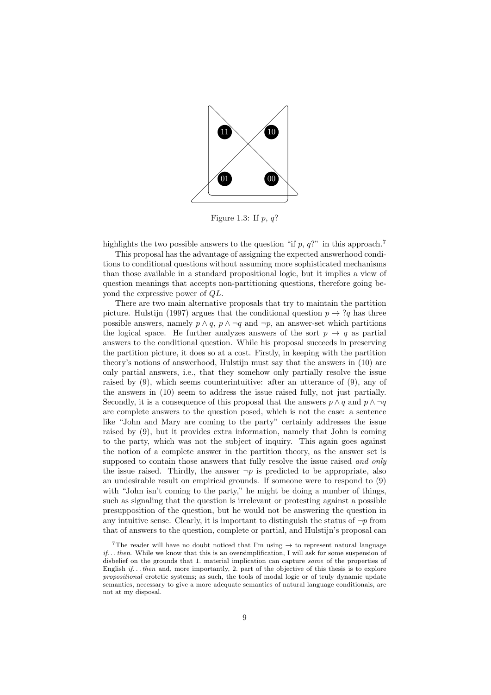

Figure 1.3: If  $p, q$ ?

highlights the two possible answers to the question "if p,  $q$ ?" in this approach.<sup>7</sup>

This proposal has the advantage of assigning the expected answerhood conditions to conditional questions without assuming more sophisticated mechanisms than those available in a standard propositional logic, but it implies a view of question meanings that accepts non-partitioning questions, therefore going beyond the expressive power of QL.

There are two main alternative proposals that try to maintain the partition picture. Hulstijn (1997) argues that the conditional question  $p \to ?q$  has three possible answers, namely  $p \wedge q$ ,  $p \wedge \neg q$  and  $\neg p$ , an answer-set which partitions the logical space. He further analyzes answers of the sort  $p \to q$  as partial answers to the conditional question. While his proposal succeeds in preserving the partition picture, it does so at a cost. Firstly, in keeping with the partition theory's notions of answerhood, Hulstijn must say that the answers in (10) are only partial answers, i.e., that they somehow only partially resolve the issue raised by (9), which seems counterintuitive: after an utterance of (9), any of the answers in (10) seem to address the issue raised fully, not just partially. Secondly, it is a consequence of this proposal that the answers  $p \wedge q$  and  $p \wedge \neg q$ are complete answers to the question posed, which is not the case: a sentence like "John and Mary are coming to the party" certainly addresses the issue raised by (9), but it provides extra information, namely that John is coming to the party, which was not the subject of inquiry. This again goes against the notion of a complete answer in the partition theory, as the answer set is supposed to contain those answers that fully resolve the issue raised and only the issue raised. Thirdly, the answer  $\neg p$  is predicted to be appropriate, also an undesirable result on empirical grounds. If someone were to respond to (9) with "John isn't coming to the party," he might be doing a number of things, such as signaling that the question is irrelevant or protesting against a possible presupposition of the question, but he would not be answering the question in any intuitive sense. Clearly, it is important to distinguish the status of  $\neg p$  from that of answers to the question, complete or partial, and Hulstin's proposal can

<sup>7</sup>The reader will have no doubt noticed that I'm using  $\rightarrow$  to represent natural language  $if.$ .. then. While we know that this is an oversimplification, I will ask for some suspension of disbelief on the grounds that 1. material implication can capture *some* of the properties of English  $if.$ ..then and, more importantly, 2. part of the objective of this thesis is to explore propositional erotetic systems; as such, the tools of modal logic or of truly dynamic update semantics, necessary to give a more adequate semantics of natural language conditionals, are not at my disposal.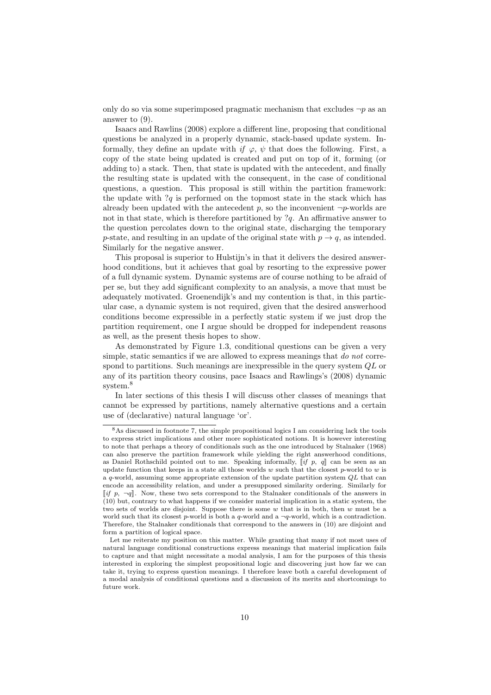only do so via some superimposed pragmatic mechanism that excludes  $\neg p$  as an answer to (9).

Isaacs and Rawlins (2008) explore a different line, proposing that conditional questions be analyzed in a properly dynamic, stack-based update system. Informally, they define an update with if  $\varphi$ ,  $\psi$  that does the following. First, a copy of the state being updated is created and put on top of it, forming (or adding to) a stack. Then, that state is updated with the antecedent, and finally the resulting state is updated with the consequent, in the case of conditional questions, a question. This proposal is still within the partition framework: the update with  $?q$  is performed on the topmost state in the stack which has already been updated with the antecedent  $p$ , so the inconvenient  $\neg p$ -worlds are not in that state, which is therefore partitioned by  $?q$ . An affirmative answer to the question percolates down to the original state, discharging the temporary p-state, and resulting in an update of the original state with  $p \to q$ , as intended. Similarly for the negative answer.

This proposal is superior to Hulstijn's in that it delivers the desired answerhood conditions, but it achieves that goal by resorting to the expressive power of a full dynamic system. Dynamic systems are of course nothing to be afraid of per se, but they add significant complexity to an analysis, a move that must be adequately motivated. Groenendijk's and my contention is that, in this particular case, a dynamic system is not required, given that the desired answerhood conditions become expressible in a perfectly static system if we just drop the partition requirement, one I argue should be dropped for independent reasons as well, as the present thesis hopes to show.

As demonstrated by Figure 1.3, conditional questions can be given a very simple, static semantics if we are allowed to express meanings that do not correspond to partitions. Such meanings are inexpressible in the query system  $QL$  or any of its partition theory cousins, pace Isaacs and Rawlings's (2008) dynamic system.<sup>8</sup>

In later sections of this thesis I will discuss other classes of meanings that cannot be expressed by partitions, namely alternative questions and a certain use of (declarative) natural language 'or'.

 $8$ As discussed in footnote 7, the simple propositional logics I am considering lack the tools to express strict implications and other more sophisticated notions. It is however interesting to note that perhaps a theory of conditionals such as the one introduced by Stalnaker (1968) can also preserve the partition framework while yielding the right answerhood conditions, as Daniel Rothschild pointed out to me. Speaking informally,  $[if p, q]$  can be seen as an update function that keeps in a state all those worlds  $w$  such that the closest p-world to  $w$  is a q-world, assuming some appropriate extension of the update partition system  $QL$  that can encode an accessibility relation, and under a presupposed similarity ordering. Similarly for  $\lceil i\!\rceil p$ ,  $\lceil q\rceil$ . Now, these two sets correspond to the Stalnaker conditionals of the answers in (10) but, contrary to what happens if we consider material implication in a static system, the two sets of worlds are disjoint. Suppose there is some  $w$  that is in both, then  $w$  must be a world such that its closest p-world is both a q-world and a  $\neg q$ -world, which is a contradiction. Therefore, the Stalnaker conditionals that correspond to the answers in (10) are disjoint and form a partition of logical space.

Let me reiterate my position on this matter. While granting that many if not most uses of natural language conditional constructions express meanings that material implication fails to capture and that might necessitate a modal analysis, I am for the purposes of this thesis interested in exploring the simplest propositional logic and discovering just how far we can take it, trying to express question meanings. I therefore leave both a careful development of a modal analysis of conditional questions and a discussion of its merits and shortcomings to future work.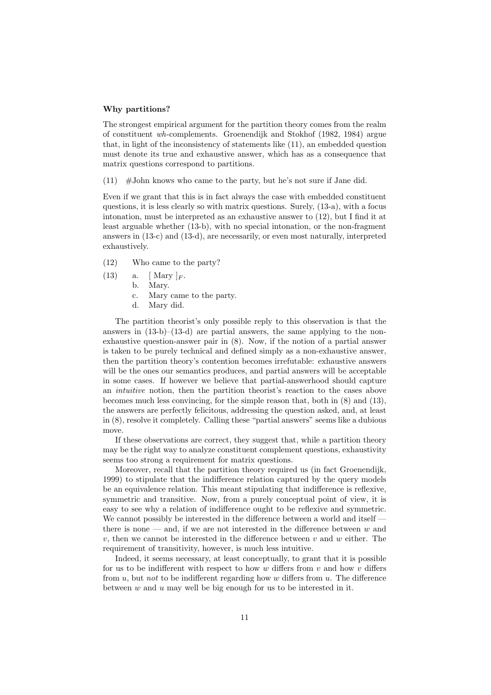#### Why partitions?

The strongest empirical argument for the partition theory comes from the realm of constituent wh-complements. Groenendijk and Stokhof (1982, 1984) argue that, in light of the inconsistency of statements like (11), an embedded question must denote its true and exhaustive answer, which has as a consequence that matrix questions correspond to partitions.

(11) #John knows who came to the party, but he's not sure if Jane did.

Even if we grant that this is in fact always the case with embedded constituent questions, it is less clearly so with matrix questions. Surely, (13-a), with a focus intonation, must be interpreted as an exhaustive answer to (12), but I find it at least arguable whether (13-b), with no special intonation, or the non-fragment answers in (13-c) and (13-d), are necessarily, or even most naturally, interpreted exhaustively.

- (12) Who came to the party?
- (13) a.  $[\text{Mary}]_F$ .
	- b. Mary.
	- c. Mary came to the party.
	- d. Mary did.

The partition theorist's only possible reply to this observation is that the answers in  $(13-b)-(13-d)$  are partial answers, the same applying to the nonexhaustive question-answer pair in (8). Now, if the notion of a partial answer is taken to be purely technical and defined simply as a non-exhaustive answer, then the partition theory's contention becomes irrefutable: exhaustive answers will be the ones our semantics produces, and partial answers will be acceptable in some cases. If however we believe that partial-answerhood should capture an intuitive notion, then the partition theorist's reaction to the cases above becomes much less convincing, for the simple reason that, both in (8) and (13), the answers are perfectly felicitous, addressing the question asked, and, at least in (8), resolve it completely. Calling these "partial answers" seems like a dubious move.

If these observations are correct, they suggest that, while a partition theory may be the right way to analyze constituent complement questions, exhaustivity seems too strong a requirement for matrix questions.

Moreover, recall that the partition theory required us (in fact Groenendijk, 1999) to stipulate that the indifference relation captured by the query models be an equivalence relation. This meant stipulating that indifference is reflexive, symmetric and transitive. Now, from a purely conceptual point of view, it is easy to see why a relation of indifference ought to be reflexive and symmetric. We cannot possibly be interested in the difference between a world and itself there is none — and, if we are not interested in the difference between  $w$  and v, then we cannot be interested in the difference between  $v$  and  $w$  either. The requirement of transitivity, however, is much less intuitive.

Indeed, it seems necessary, at least conceptually, to grant that it is possible for us to be indifferent with respect to how  $w$  differs from  $v$  and how  $v$  differs from  $u$ , but not to be indifferent regarding how  $w$  differs from  $u$ . The difference between  $w$  and  $u$  may well be big enough for us to be interested in it.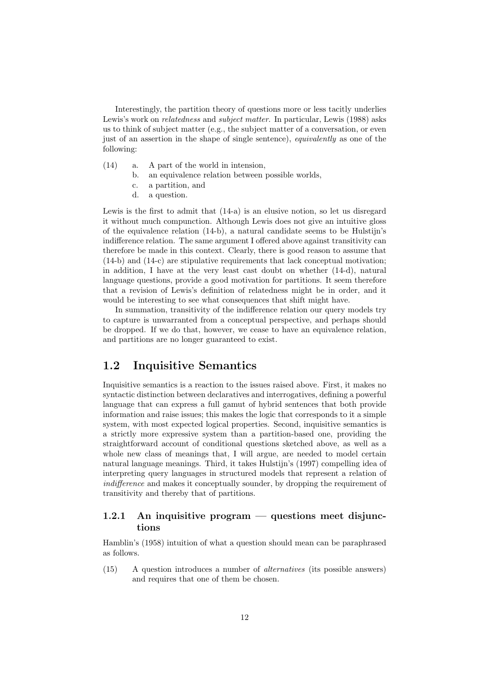Interestingly, the partition theory of questions more or less tacitly underlies Lewis's work on *relatedness* and *subject matter*. In particular, Lewis (1988) asks us to think of subject matter (e.g., the subject matter of a conversation, or even just of an assertion in the shape of single sentence), equivalently as one of the following:

- (14) a. A part of the world in intension,
	- b. an equivalence relation between possible worlds,
	- c. a partition, and
	- d. a question.

Lewis is the first to admit that (14-a) is an elusive notion, so let us disregard it without much compunction. Although Lewis does not give an intuitive gloss of the equivalence relation (14-b), a natural candidate seems to be Hulstijn's indifference relation. The same argument I offered above against transitivity can therefore be made in this context. Clearly, there is good reason to assume that (14-b) and (14-c) are stipulative requirements that lack conceptual motivation; in addition, I have at the very least cast doubt on whether (14-d), natural language questions, provide a good motivation for partitions. It seem therefore that a revision of Lewis's definition of relatedness might be in order, and it would be interesting to see what consequences that shift might have.

In summation, transitivity of the indifference relation our query models try to capture is unwarranted from a conceptual perspective, and perhaps should be dropped. If we do that, however, we cease to have an equivalence relation, and partitions are no longer guaranteed to exist.

### 1.2 Inquisitive Semantics

Inquisitive semantics is a reaction to the issues raised above. First, it makes no syntactic distinction between declaratives and interrogatives, defining a powerful language that can express a full gamut of hybrid sentences that both provide information and raise issues; this makes the logic that corresponds to it a simple system, with most expected logical properties. Second, inquisitive semantics is a strictly more expressive system than a partition-based one, providing the straightforward account of conditional questions sketched above, as well as a whole new class of meanings that, I will argue, are needed to model certain natural language meanings. Third, it takes Hulstijn's (1997) compelling idea of interpreting query languages in structured models that represent a relation of indifference and makes it conceptually sounder, by dropping the requirement of transitivity and thereby that of partitions.

### 1.2.1 An inquisitive program — questions meet disjunctions

Hamblin's (1958) intuition of what a question should mean can be paraphrased as follows.

(15) A question introduces a number of alternatives (its possible answers) and requires that one of them be chosen.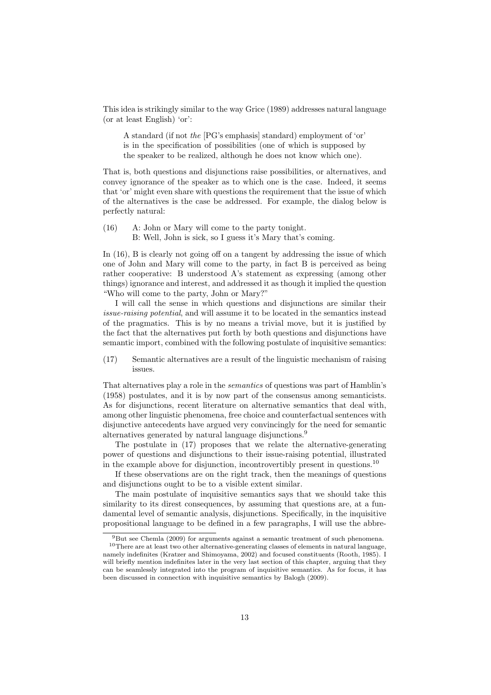This idea is strikingly similar to the way Grice (1989) addresses natural language (or at least English) 'or':

A standard (if not the [PG's emphasis] standard) employment of 'or' is in the specification of possibilities (one of which is supposed by the speaker to be realized, although he does not know which one).

That is, both questions and disjunctions raise possibilities, or alternatives, and convey ignorance of the speaker as to which one is the case. Indeed, it seems that 'or' might even share with questions the requirement that the issue of which of the alternatives is the case be addressed. For example, the dialog below is perfectly natural:

(16) A: John or Mary will come to the party tonight. B: Well, John is sick, so I guess it's Mary that's coming.

In (16), B is clearly not going off on a tangent by addressing the issue of which one of John and Mary will come to the party, in fact B is perceived as being rather cooperative: B understood A's statement as expressing (among other things) ignorance and interest, and addressed it as though it implied the question "Who will come to the party, John or Mary?"

I will call the sense in which questions and disjunctions are similar their issue-raising potential, and will assume it to be located in the semantics instead of the pragmatics. This is by no means a trivial move, but it is justified by the fact that the alternatives put forth by both questions and disjunctions have semantic import, combined with the following postulate of inquisitive semantics:

(17) Semantic alternatives are a result of the linguistic mechanism of raising issues.

That alternatives play a role in the semantics of questions was part of Hamblin's (1958) postulates, and it is by now part of the consensus among semanticists. As for disjunctions, recent literature on alternative semantics that deal with, among other linguistic phenomena, free choice and counterfactual sentences with disjunctive antecedents have argued very convincingly for the need for semantic alternatives generated by natural language disjunctions.<sup>9</sup>

The postulate in (17) proposes that we relate the alternative-generating power of questions and disjunctions to their issue-raising potential, illustrated in the example above for disjunction, incontrovertibly present in questions.<sup>10</sup>

If these observations are on the right track, then the meanings of questions and disjunctions ought to be to a visible extent similar.

The main postulate of inquisitive semantics says that we should take this similarity to its direst consequences, by assuming that questions are, at a fundamental level of semantic analysis, disjunctions. Specifically, in the inquisitive propositional language to be defined in a few paragraphs, I will use the abbre-

 $^{9}$ But see Chemla (2009) for arguments against a semantic treatment of such phenomena. <sup>10</sup>There are at least two other alternative-generating classes of elements in natural language, namely indefinites (Kratzer and Shimoyama, 2002) and focused constituents (Rooth, 1985). I will briefly mention indefinites later in the very last section of this chapter, arguing that they can be seamlessly integrated into the program of inquisitive semantics. As for focus, it has been discussed in connection with inquisitive semantics by Balogh (2009).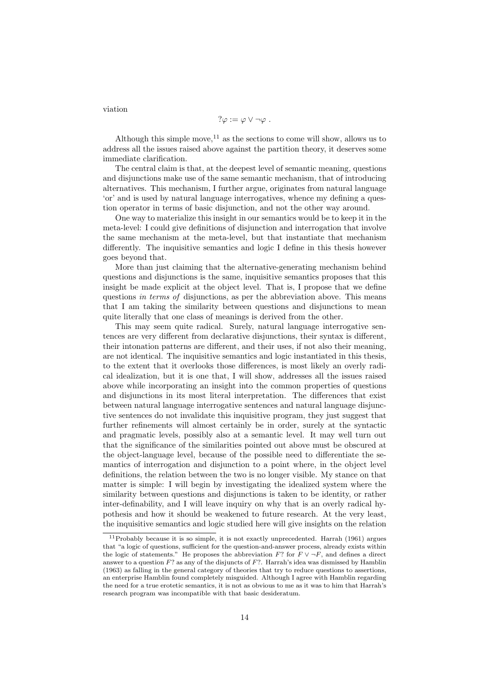viation

$$
?\varphi := \varphi \vee \neg \varphi .
$$

Although this simple move,<sup>11</sup> as the sections to come will show, allows us to address all the issues raised above against the partition theory, it deserves some immediate clarification.

The central claim is that, at the deepest level of semantic meaning, questions and disjunctions make use of the same semantic mechanism, that of introducing alternatives. This mechanism, I further argue, originates from natural language 'or' and is used by natural language interrogatives, whence my defining a question operator in terms of basic disjunction, and not the other way around.

One way to materialize this insight in our semantics would be to keep it in the meta-level: I could give definitions of disjunction and interrogation that involve the same mechanism at the meta-level, but that instantiate that mechanism differently. The inquisitive semantics and logic I define in this thesis however goes beyond that.

More than just claiming that the alternative-generating mechanism behind questions and disjunctions is the same, inquisitive semantics proposes that this insight be made explicit at the object level. That is, I propose that we define questions in terms of disjunctions, as per the abbreviation above. This means that I am taking the similarity between questions and disjunctions to mean quite literally that one class of meanings is derived from the other.

This may seem quite radical. Surely, natural language interrogative sentences are very different from declarative disjunctions, their syntax is different, their intonation patterns are different, and their uses, if not also their meaning, are not identical. The inquisitive semantics and logic instantiated in this thesis, to the extent that it overlooks those differences, is most likely an overly radical idealization, but it is one that, I will show, addresses all the issues raised above while incorporating an insight into the common properties of questions and disjunctions in its most literal interpretation. The differences that exist between natural language interrogative sentences and natural language disjunctive sentences do not invalidate this inquisitive program, they just suggest that further refinements will almost certainly be in order, surely at the syntactic and pragmatic levels, possibly also at a semantic level. It may well turn out that the significance of the similarities pointed out above must be obscured at the object-language level, because of the possible need to differentiate the semantics of interrogation and disjunction to a point where, in the object level definitions, the relation between the two is no longer visible. My stance on that matter is simple: I will begin by investigating the idealized system where the similarity between questions and disjunctions is taken to be identity, or rather inter-definability, and I will leave inquiry on why that is an overly radical hypothesis and how it should be weakened to future research. At the very least, the inquisitive semantics and logic studied here will give insights on the relation

 $11$ Probably because it is so simple, it is not exactly unprecedented. Harrah (1961) argues that "a logic of questions, sufficient for the question-and-answer process, already exists within the logic of statements." He proposes the abbreviation  $F$ ? for  $F \vee \neg F$ , and defines a direct answer to a question  $F$ ? as any of the disjuncts of  $F$ ?. Harrah's idea was dismissed by Hamblin (1963) as falling in the general category of theories that try to reduce questions to assertions, an enterprise Hamblin found completely misguided. Although I agree with Hamblin regarding the need for a true erotetic semantics, it is not as obvious to me as it was to him that Harrah's research program was incompatible with that basic desideratum.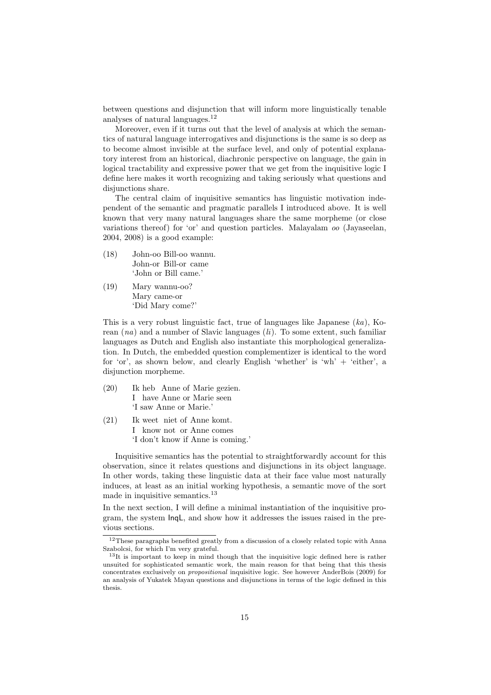between questions and disjunction that will inform more linguistically tenable analyses of natural languages.<sup>12</sup>

Moreover, even if it turns out that the level of analysis at which the semantics of natural language interrogatives and disjunctions is the same is so deep as to become almost invisible at the surface level, and only of potential explanatory interest from an historical, diachronic perspective on language, the gain in logical tractability and expressive power that we get from the inquisitive logic I define here makes it worth recognizing and taking seriously what questions and disjunctions share.

The central claim of inquisitive semantics has linguistic motivation independent of the semantic and pragmatic parallels I introduced above. It is well known that very many natural languages share the same morpheme (or close variations thereof) for 'or' and question particles. Malayalam oo (Jayaseelan, 2004, 2008) is a good example:

- (18) John-oo Bill-oo wannu. John-or Bill-or came 'John or Bill came.'
- (19) Mary wannu-oo? Mary came-or 'Did Mary come?'

This is a very robust linguistic fact, true of languages like Japanese  $(ka)$ , Korean  $(na)$  and a number of Slavic languages  $(ii)$ . To some extent, such familiar languages as Dutch and English also instantiate this morphological generalization. In Dutch, the embedded question complementizer is identical to the word for 'or', as shown below, and clearly English 'whether' is 'wh' + 'either', a disjunction morpheme.

- $(20)$ I have Anne or Marie seen heb Anne of Marie gezien. 'I saw Anne or Marie.'
- $(21)$ I know not or Anne comes weet niet of Anne komt. 'I don't know if Anne is coming.'

Inquisitive semantics has the potential to straightforwardly account for this observation, since it relates questions and disjunctions in its object language. In other words, taking these linguistic data at their face value most naturally induces, at least as an initial working hypothesis, a semantic move of the sort made in inquisitive semantics.<sup>13</sup>

In the next section, I will define a minimal instantiation of the inquisitive program, the system InqL, and show how it addresses the issues raised in the previous sections.

 $^{12}\mathrm{These}$  paragraphs benefited greatly from a discussion of a closely related topic with Anna Szabolcsi, for which I'm very grateful.

<sup>&</sup>lt;sup>13</sup>It is important to keep in mind though that the inquisitive logic defined here is rather unsuited for sophisticated semantic work, the main reason for that being that this thesis concentrates exclusively on propositional inquisitive logic. See however AnderBois (2009) for an analysis of Yukatek Mayan questions and disjunctions in terms of the logic defined in this thesis.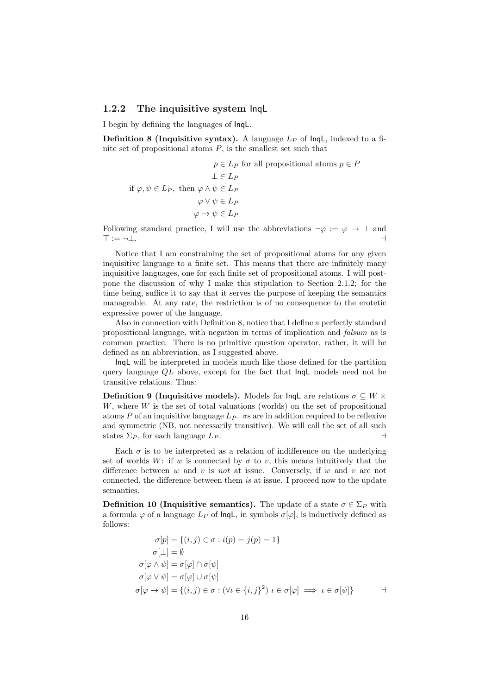#### 1.2.2 The inquisitive system InqL

I begin by defining the languages of InqL.

**Definition 8 (Inquisitive syntax).** A language  $L_P$  of  $\text{Inql},$  indexed to a finite set of propositional atoms  $P$ , is the smallest set such that

$$
p \in L_P \text{ for all propositional atoms } p \in P
$$
  
\n
$$
\bot \in L_P
$$
  
\nif  $\varphi, \psi \in L_P$ , then  $\varphi \land \psi \in L_P$   
\n
$$
\varphi \lor \psi \in L_P
$$
  
\n
$$
\varphi \to \psi \in L_P
$$

Following standard practice, I will use the abbreviations  $\neg \varphi := \varphi \rightarrow \bot$  and  $\top := \neg \bot.$ 

Notice that I am constraining the set of propositional atoms for any given inquisitive language to a finite set. This means that there are infinitely many inquisitive languages, one for each finite set of propositional atoms. I will postpone the discussion of why I make this stipulation to Section 2.1.2; for the time being, suffice it to say that it serves the purpose of keeping the semantics manageable. At any rate, the restriction is of no consequence to the erotetic expressive power of the language.

Also in connection with Definition 8, notice that I define a perfectly standard propositional language, with negation in terms of implication and falsum as is common practice. There is no primitive question operator, rather, it will be defined as an abbreviation, as I suggested above.

InqL will be interpreted in models much like those defined for the partition query language  $QL$  above, except for the fact that  $\text{Inql}$  models need not be transitive relations. Thus:

**Definition 9 (Inquisitive models).** Models for  $\text{Inql}$  are relations  $\sigma \subset W \times$  $W$ , where  $W$  is the set of total valuations (worlds) on the set of propositional atoms P of an inquisitive language  $L_P$ .  $\sigma s$  are in addition required to be reflexive and symmetric (NB, not necessarily transitive). We will call the set of all such states  $\Sigma_P$ , for each language  $L_P$ .

Each  $\sigma$  is to be interpreted as a relation of indifference on the underlying set of worlds W: if w is connected by  $\sigma$  to v, this means intuitively that the difference between  $w$  and  $v$  is not at issue. Conversely, if  $w$  and  $v$  are not connected, the difference between them is at issue. I proceed now to the update semantics.

**Definition 10 (Inquisitive semantics).** The update of a state  $\sigma \in \Sigma_P$  with a formula  $\varphi$  of a language  $L_P$  of lnqL, in symbols  $\sigma[\varphi]$ , is inductively defined as follows:

$$
\sigma[p] = \{(i, j) \in \sigma : i(p) = j(p) = 1\}
$$
  
\n
$$
\sigma[\bot] = \emptyset
$$
  
\n
$$
\sigma[\varphi \land \psi] = \sigma[\varphi] \cap \sigma[\psi]
$$
  
\n
$$
\sigma[\varphi \lor \psi] = \sigma[\varphi] \cup \sigma[\psi]
$$
  
\n
$$
\sigma[\varphi \to \psi] = \{(i, j) \in \sigma : (\forall \iota \in \{i, j\}^2) \ \iota \in \sigma[\varphi] \implies \iota \in \sigma[\psi]\}
$$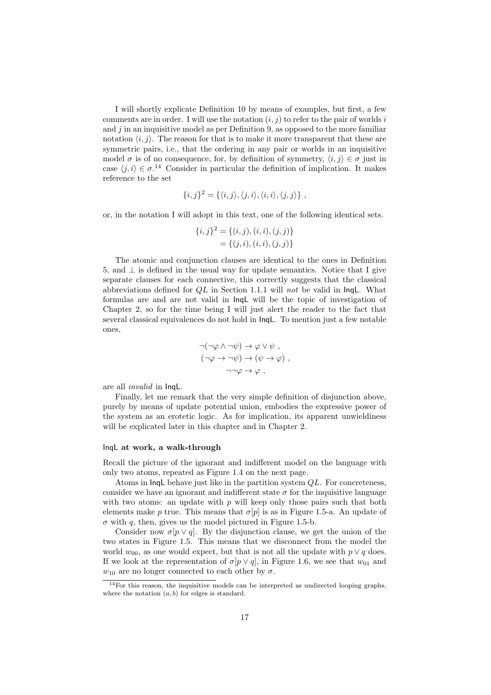I will shortly explicate Definition 10 by means of examples, but first, a few comments are in order. I will use the notation  $(i, j)$  to refer to the pair of worlds i and  $j$  in an inquisitive model as per Definition 9, as opposed to the more familiar notation  $\langle i, j \rangle$ . The reason for that is to make it more transparent that these are symmetric pairs, i.e., that the ordering in any pair or worlds in an inquisitive model  $\sigma$  is of no consequence, for, by definition of symmetry,  $\langle i, j \rangle \in \sigma$  just in case  $\langle j, i \rangle \in \sigma$ .<sup>14</sup> Consider in particular the definition of implication. It makes reference to the set

$$
\{i, j\}^2 = \{\langle i, j \rangle, \langle j, i \rangle, \langle i, i \rangle, \langle j, j \rangle\},\
$$

or, in the notation I will adopt in this text, one of the following identical sets.

$$
{i,j}^2 = {(i,j), (i,i), (j,j)}
$$
  
= { $(j,i), (i,i), (j,j)$ }

The atomic and conjunction clauses are identical to the ones in Definition 5, and  $\perp$  is defined in the usual way for update semantics. Notice that I give separate clauses for each connective, this correctly suggests that the classical abbreviations defined for  $QL$  in Section 1.1.1 will not be valid in  $InqL$ . What formulas are and are not valid in InqL will be the topic of investigation of Chapter 2, so for the time being I will just alert the reader to the fact that several classical equivalences do not hold in InqL. To mention just a few notable ones,

$$
\neg(\neg\varphi \land \neg\psi) \to \varphi \lor \psi ,\n(\neg\varphi \to \neg\psi) \to (\psi \to \varphi) ,\n\neg\neg\varphi \to \varphi ,
$$

are all invalid in InqL.

Finally, let me remark that the very simple definition of disjunction above, purely by means of update potential union, embodies the expressive power of the system as an erotetic logic. As for implication, its apparent unwieldiness will be explicated later in this chapter and in Chapter 2.

#### InqL at work, a walk-through

Recall the picture of the ignorant and indifferent model on the language with only two atoms, repeated as Figure 1.4 on the next page.

Atoms in InqL behave just like in the partition system QL. For concreteness, consider we have an ignorant and indifferent state  $\sigma$  for the inquisitive language with two atoms: an update with  $p$  will keep only those pairs such that both elements make p true. This means that  $\sigma[p]$  is as in Figure 1.5-a. An update of  $\sigma$  with q, then, gives us the model pictured in Figure 1.5-b.

Consider now  $\sigma[p \vee q]$ . By the disjunction clause, we get the union of the two states in Figure 1.5. This means that we disconnect from the model the world  $w_{00}$ , as one would expect, but that is not all the update with  $p \vee q$  does. If we look at the representation of  $\sigma[p \vee q]$ , in Figure 1.6, we see that  $w_{01}$  and  $w_{10}$  are no longer connected to each other by  $\sigma$ .

<sup>14</sup>For this reason, the inquisitive models can be interpreted as undirected looping graphs, where the notation  $(a, b)$  for edges is standard.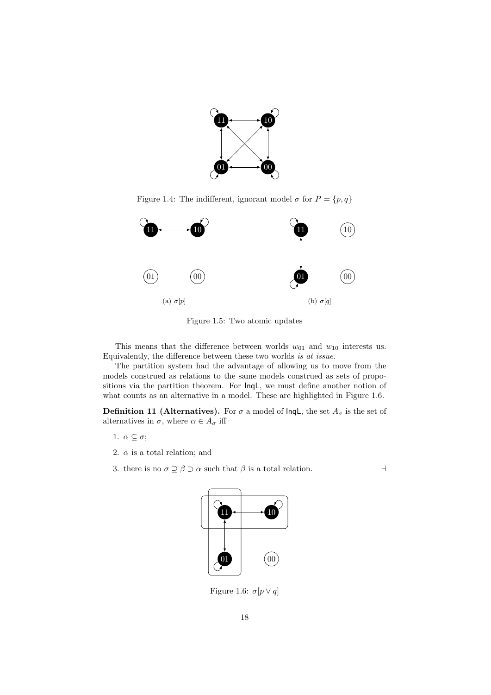

Figure 1.4: The indifferent, ignorant model  $\sigma$  for  $P = \{p, q\}$ 



Figure 1.5: Two atomic updates

This means that the difference between worlds  $w_{01}$  and  $w_{10}$  interests us. Equivalently, the difference between these two worlds is at issue.

The partition system had the advantage of allowing us to move from the models construed as relations to the same models construed as sets of propositions via the partition theorem. For InqL, we must define another notion of what counts as an alternative in a model. These are highlighted in Figure 1.6.

**Definition 11 (Alternatives).** For  $\sigma$  a model of lnqL, the set  $A_{\sigma}$  is the set of alternatives in  $\sigma$ , where  $\alpha \in A_{\sigma}$  iff

- 1.  $\alpha \subseteq \sigma$ ;
- 2.  $\alpha$  is a total relation; and
- 3. there is no  $\sigma \supseteq \beta \supset \alpha$  such that  $\beta$  is a total relation.



Figure 1.6:  $\sigma[p \vee q]$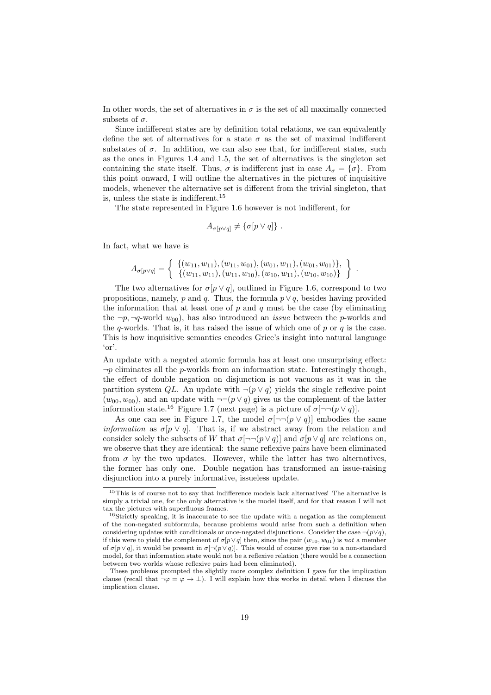In other words, the set of alternatives in  $\sigma$  is the set of all maximally connected subsets of  $\sigma$ .

Since indifferent states are by definition total relations, we can equivalently define the set of alternatives for a state  $\sigma$  as the set of maximal indifferent substates of  $\sigma$ . In addition, we can also see that, for indifferent states, such as the ones in Figures 1.4 and 1.5, the set of alternatives is the singleton set containing the state itself. Thus,  $\sigma$  is indifferent just in case  $A_{\sigma} = {\sigma}.$  From this point onward, I will outline the alternatives in the pictures of inquisitive models, whenever the alternative set is different from the trivial singleton, that is, unless the state is indifferent.<sup>15</sup>

The state represented in Figure 1.6 however is not indifferent, for

$$
A_{\sigma[p\vee q]} \neq \{\sigma[p\vee q]\} .
$$

In fact, what we have is

$$
A_{\sigma[p\vee q]} = \left\{ \begin{array}{c} \{(w_{11}, w_{11}), (w_{11}, w_{01}), (w_{01}, w_{11}), (w_{01}, w_{01})\}, \\ \{(w_{11}, w_{11}), (w_{11}, w_{10}), (w_{10}, w_{11}), (w_{10}, w_{10})\} \end{array} \right\}.
$$

The two alternatives for  $\sigma[p \lor q]$ , outlined in Figure 1.6, correspond to two propositions, namely, p and q. Thus, the formula  $p \vee q$ , besides having provided the information that at least one of  $p$  and  $q$  must be the case (by eliminating the  $\neg p$ ,  $\neg q$ -world  $w_{00}$ ), has also introduced an *issue* between the p-worlds and the q-worlds. That is, it has raised the issue of which one of p or q is the case. This is how inquisitive semantics encodes Grice's insight into natural language 'or'.

An update with a negated atomic formula has at least one unsurprising effect:  $\neg p$  eliminates all the p-worlds from an information state. Interestingly though, the effect of double negation on disjunction is not vacuous as it was in the partition system QL. An update with  $\neg (p \lor q)$  yields the single reflexive point  $(w_{00}, w_{00})$ , and an update with  $\neg$ ( $p \lor q$ ) gives us the complement of the latter information state.<sup>16</sup> Figure 1.7 (next page) is a picture of  $\sigma$ [¬¬( $p \vee q$ )].

As one can see in Figure 1.7, the model  $\sigma$ [¬¬( $p \vee q$ )] embodies the same *information* as  $\sigma[p \lor q]$ . That is, if we abstract away from the relation and consider solely the subsets of W that  $\sigma[\neg\neg(p \lor q)]$  and  $\sigma[p \lor q]$  are relations on, we observe that they are identical: the same reflexive pairs have been eliminated from  $\sigma$  by the two updates. However, while the latter has two alternatives, the former has only one. Double negation has transformed an issue-raising disjunction into a purely informative, issueless update.

<sup>&</sup>lt;sup>15</sup>This is of course not to say that indifference models lack alternatives! The alternative is simply a trivial one, for the only alternative is the model itself, and for that reason I will not tax the pictures with superfluous frames.

 $16$ Strictly speaking, it is inaccurate to see the update with a negation as the complement of the non-negated subformula, because problems would arise from such a definition when considering updates with conditionals or once-negated disjunctions. Consider the case  $\neg (p \lor q)$ , if this were to yield the complement of  $\sigma[p\vee q]$  then, since the pair  $(w_{10}, w_{01})$  is not a member of  $\sigma[p \vee q]$ , it would be present in  $\sigma[\neg(p \vee q)]$ . This would of course give rise to a non-standard model, for that information state would not be a reflexive relation (there would be a connection between two worlds whose reflexive pairs had been eliminated).

These problems prompted the slightly more complex definition I gave for the implication clause (recall that  $\neg \varphi = \varphi \rightarrow \bot$ ). I will explain how this works in detail when I discuss the implication clause.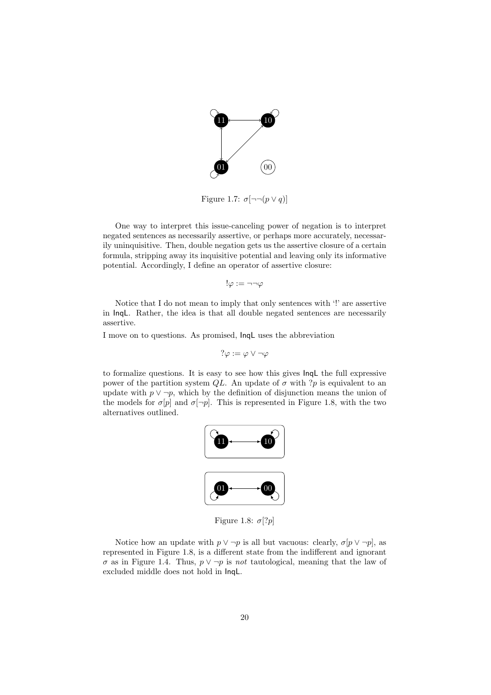

Figure 1.7:  $\sigma$ [¬¬( $p \vee q$ )]

One way to interpret this issue-canceling power of negation is to interpret negated sentences as necessarily assertive, or perhaps more accurately, necessarily uninquisitive. Then, double negation gets us the assertive closure of a certain formula, stripping away its inquisitive potential and leaving only its informative potential. Accordingly, I define an operator of assertive closure:

$$
!\varphi := \neg \neg \varphi
$$

Notice that I do not mean to imply that only sentences with '!' are assertive in InqL. Rather, the idea is that all double negated sentences are necessarily assertive.

I move on to questions. As promised, InqL uses the abbreviation

$$
?\varphi := \varphi \vee \neg \varphi
$$

to formalize questions. It is easy to see how this gives InqL the full expressive power of the partition system  $QL$ . An update of  $\sigma$  with ?p is equivalent to an update with  $p \vee \neg p$ , which by the definition of disjunction means the union of the models for  $\sigma[p]$  and  $\sigma[\neg p]$ . This is represented in Figure 1.8, with the two alternatives outlined.



Figure 1.8:  $\sigma$ [?*p*]

Notice how an update with  $p \vee \neg p$  is all but vacuous: clearly,  $\sigma[p \vee \neg p]$ , as represented in Figure 1.8, is a different state from the indifferent and ignorant  $\sigma$  as in Figure 1.4. Thus,  $p \vee \neg p$  is not tautological, meaning that the law of excluded middle does not hold in InqL.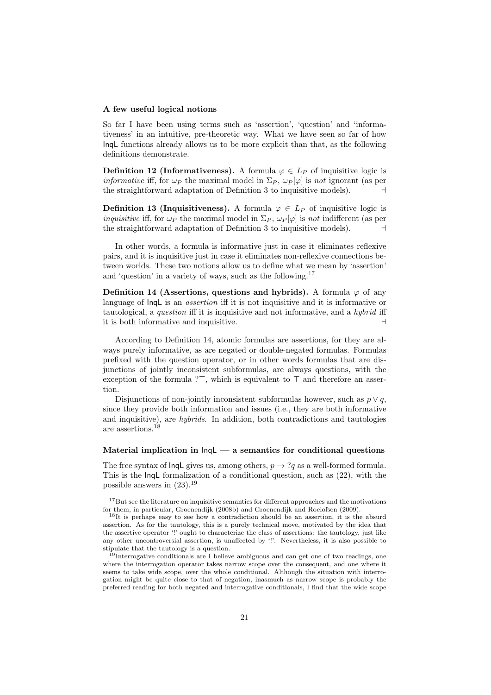#### A few useful logical notions

So far I have been using terms such as 'assertion', 'question' and 'informativeness' in an intuitive, pre-theoretic way. What we have seen so far of how InqL functions already allows us to be more explicit than that, as the following definitions demonstrate.

**Definition 12 (Informativeness).** A formula  $\varphi \in L_p$  of inquisitive logic is *informative* iff, for  $\omega_P$  the maximal model in  $\Sigma_P$ ,  $\omega_P[\varphi]$  is not ignorant (as per the straightforward adaptation of Definition 3 to inquisitive models).  $\Box$ 

**Definition 13 (Inquisitiveness).** A formula  $\varphi \in L_p$  of inquisitive logic is *inquisitive* iff, for  $\omega_P$  the maximal model in  $\Sigma_P$ ,  $\omega_P[\varphi]$  is not indifferent (as per the straightforward adaptation of Definition 3 to inquisitive models).  $\Box$ 

In other words, a formula is informative just in case it eliminates reflexive pairs, and it is inquisitive just in case it eliminates non-reflexive connections between worlds. These two notions allow us to define what we mean by 'assertion' and 'question' in a variety of ways, such as the following.<sup>17</sup>

Definition 14 (Assertions, questions and hybrids). A formula  $\varphi$  of any language of  $\text{Inql}$  is an *assertion* iff it is not inquisitive and it is informative or tautological, a question iff it is inquisitive and not informative, and a hybrid iff it is both informative and inquisitive.  $\Box$ 

According to Definition 14, atomic formulas are assertions, for they are always purely informative, as are negated or double-negated formulas. Formulas prefixed with the question operator, or in other words formulas that are disjunctions of jointly inconsistent subformulas, are always questions, with the exception of the formula ? $\top$ , which is equivalent to  $\top$  and therefore an assertion.

Disjunctions of non-jointly inconsistent subformulas however, such as  $p \vee q$ , since they provide both information and issues (i.e., they are both informative and inquisitive), are hybrids. In addition, both contradictions and tautologies are assertions.<sup>18</sup>

#### Material implication in  $\ln|I|$  — a semantics for conditional questions

The free syntax of lngL gives us, among others,  $p \rightarrow ?q$  as a well-formed formula. This is the InqL formalization of a conditional question, such as (22), with the possible answers in  $(23).^{19}$ 

 $^{17}\mathrm{But}$  see the literature on inquisitive semantics for different approaches and the motivations for them, in particular, Groenendijk (2008b) and Groenendijk and Roelofsen (2009).

<sup>&</sup>lt;sup>18</sup>It is perhaps easy to see how a contradiction should be an assertion, it is the absurd assertion. As for the tautology, this is a purely technical move, motivated by the idea that the assertive operator '!' ought to characterize the class of assertions: the tautology, just like any other uncontroversial assertion, is unaffected by '!'. Nevertheless, it is also possible to stipulate that the tautology is a question.

 $19$ Interrogative conditionals are I believe ambiguous and can get one of two readings, one where the interrogation operator takes narrow scope over the consequent, and one where it seems to take wide scope, over the whole conditional. Although the situation with interrogation might be quite close to that of negation, inasmuch as narrow scope is probably the preferred reading for both negated and interrogative conditionals, I find that the wide scope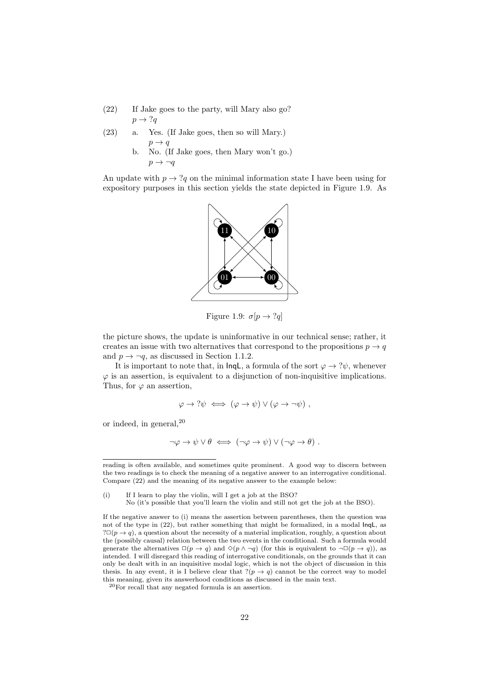- (22) If Jake goes to the party, will Mary also go?  $p \rightarrow ?q$
- (23) a. Yes. (If Jake goes, then so will Mary.)  $p \rightarrow q$ 
	- b. No. (If Jake goes, then Mary won't go.)  $p \rightarrow \neg q$

An update with  $p \to ?q$  on the minimal information state I have been using for expository purposes in this section yields the state depicted in Figure 1.9. As



Figure 1.9:  $\sigma[p \to ?q]$ 

the picture shows, the update is uninformative in our technical sense; rather, it creates an issue with two alternatives that correspond to the propositions  $p \to q$ and  $p \rightarrow \neg q$ , as discussed in Section 1.1.2.

It is important to note that, in  $\text{Inql},$  a formula of the sort  $\varphi \to ?\psi$ , whenever  $\varphi$  is an assertion, is equivalent to a disjunction of non-inquisitive implications. Thus, for  $\varphi$  an assertion,

$$
\varphi \to ?\psi \iff (\varphi \to \psi) \lor (\varphi \to \neg \psi) ,
$$

or indeed, in general,  $20$ 

$$
\neg \varphi \to \psi \lor \theta \iff (\neg \varphi \to \psi) \lor (\neg \varphi \to \theta).
$$

(i) If I learn to play the violin, will I get a job at the BSO?

reading is often available, and sometimes quite prominent. A good way to discern between the two readings is to check the meaning of a negative answer to an interrogative conditional. Compare (22) and the meaning of its negative answer to the example below:

No (it's possible that you'll learn the violin and still not get the job at the BSO).

If the negative answer to (i) means the assertion between parentheses, then the question was not of the type in (22), but rather something that might be formalized, in a modal InqL, as  $? \Box (p \rightarrow q)$ , a question about the necessity of a material implication, roughly, a question about the (possibly causal) relation between the two events in the conditional. Such a formula would generate the alternatives  $\Box(p \to q)$  and  $\diamond(p \land \neg q)$  (for this is equivalent to  $\neg \Box(p \to q)$ ), as intended. I will disregard this reading of interrogative conditionals, on the grounds that it can only be dealt with in an inquisitive modal logic, which is not the object of discussion in this thesis. In any event, it is I believe clear that  $?((p \rightarrow q)$  cannot be the correct way to model this meaning, given its answerhood conditions as discussed in the main text.

<sup>20</sup>For recall that any negated formula is an assertion.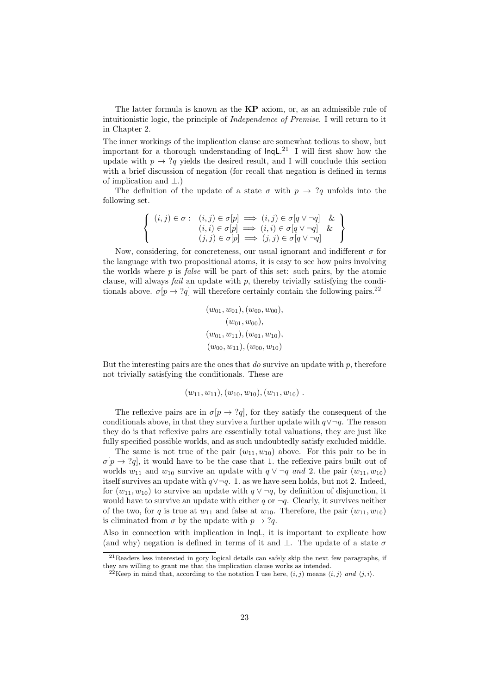The latter formula is known as the **KP** axiom, or, as an admissible rule of intuitionistic logic, the principle of Independence of Premise. I will return to it in Chapter 2.

The inner workings of the implication clause are somewhat tedious to show, but important for a thorough understanding of  $\text{Inql.}^{21}$  I will first show how the update with  $p \to ?q$  yields the desired result, and I will conclude this section with a brief discussion of negation (for recall that negation is defined in terms of implication and ⊥.)

The definition of the update of a state  $\sigma$  with  $p \to ?q$  unfolds into the following set.

$$
\left\{\n\begin{array}{c}\n(i,j)\in\sigma:\n(i,j)\in\sigma[p] \implies (i,j)\in\sigma[q\vee\neg q]\n\quad & (i,i)\in\sigma[p] \implies (i,i)\in\sigma[q\vee\neg q]\n\quad & (j,j)\in\sigma[p] \implies (j,j)\in\sigma[q\vee\neg q]\n\end{array}\n\right\}
$$

Now, considering, for concreteness, our usual ignorant and indifferent  $\sigma$  for the language with two propositional atoms, it is easy to see how pairs involving the worlds where  $p$  is *false* will be part of this set: such pairs, by the atomic clause, will always fail an update with p, thereby trivially satisfying the conditionals above.  $\sigma[p \to ?q]$  will therefore certainly contain the following pairs.<sup>22</sup>

$$
(w_{01}, w_{01}), (w_{00}, w_{00}),(w_{01}, w_{00}),(w_{01}, w_{11}), (w_{01}, w_{10}),(w_{00}, w_{11}), (w_{00}, w_{10})
$$

But the interesting pairs are the ones that  $\phi$  survive an update with  $p$ , therefore not trivially satisfying the conditionals. These are

$$
(w_{11}, w_{11}), (w_{10}, w_{10}), (w_{11}, w_{10})
$$
.

The reflexive pairs are in  $\sigma[p \to ?q]$ , for they satisfy the consequent of the conditionals above, in that they survive a further update with  $q \vee \neg q$ . The reason they do is that reflexive pairs are essentially total valuations, they are just like fully specified possible worlds, and as such undoubtedly satisfy excluded middle.

The same is not true of the pair  $(w_{11}, w_{10})$  above. For this pair to be in  $\sigma[p \rightarrow ?q]$ , it would have to be the case that 1. the reflexive pairs built out of worlds  $w_{11}$  and  $w_{10}$  survive an update with  $q \vee \neg q$  and 2. the pair  $(w_{11}, w_{10})$ itself survives an update with  $q \vee \neg q$ . 1. as we have seen holds, but not 2. Indeed, for  $(w_{11}, w_{10})$  to survive an update with  $q \vee \neg q$ , by definition of disjunction, it would have to survive an update with either q or  $\neg q$ . Clearly, it survives neither of the two, for q is true at  $w_{11}$  and false at  $w_{10}$ . Therefore, the pair  $(w_{11}, w_{10})$ is eliminated from  $\sigma$  by the update with  $p \to ?q$ .

Also in connection with implication in InqL, it is important to explicate how (and why) negation is defined in terms of it and  $\perp$ . The update of a state  $\sigma$ 

<sup>21</sup>Readers less interested in gory logical details can safely skip the next few paragraphs, if they are willing to grant me that the implication clause works as intended.

<sup>&</sup>lt;sup>22</sup>Keep in mind that, according to the notation I use here,  $(i, j)$  means  $\langle i, j \rangle$  and  $\langle j, i \rangle$ .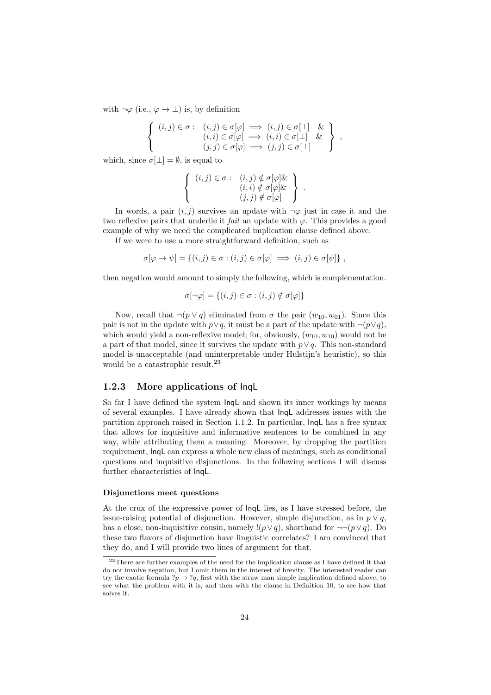with  $\neg \varphi$  (i.e.,  $\varphi \to \bot$ ) is, by definition

$$
\left\{\n\begin{array}{c}\n(i,j)\in\sigma:\n(i,j)\in\sigma[\varphi]\implies(i,j)\in\sigma[\bot]\&\&\n(i,i)\in\sigma[\varphi]\implies(i,i)\in\sigma[\bot]\&\&\n(j,j)\in\sigma[\varphi]\implies(j,j)\in\sigma[\bot]\n\end{array}\n\right\},
$$

which, since  $\sigma[\perp] = \emptyset$ , is equal to

$$
\left\{\n\begin{array}{c}\n(i,j) \in \sigma : \quad (i,j) \notin \sigma[\varphi] \& \\
(i,i) \notin \sigma[\varphi] \& \\
(j,j) \notin \sigma[\varphi]\n\end{array}\n\right\}.
$$

In words, a pair  $(i, j)$  survives an update with  $\neg \varphi$  just in case it and the two reflexive pairs that underlie it *fail* an update with  $\varphi$ . This provides a good example of why we need the complicated implication clause defined above.

If we were to use a more straightforward definition, such as

$$
\sigma[\varphi \to \psi] = \{(i,j) \in \sigma : (i,j) \in \sigma[\varphi] \implies (i,j) \in \sigma[\psi]\},
$$

then negation would amount to simply the following, which is complementation.

$$
\sigma[\neg \varphi] = \{(i, j) \in \sigma : (i, j) \notin \sigma[\varphi]\}
$$

Now, recall that  $\neg(p \lor q)$  eliminated from  $\sigma$  the pair  $(w_{10}, w_{01})$ . Since this pair is not in the update with  $p \vee q$ , it must be a part of the update with  $\neg (p \vee q)$ , which would yield a non-reflexive model; for, obviously,  $(w_{10}, w_{10})$  would not be a part of that model, since it survives the update with  $p \vee q$ . This non-standard model is unacceptable (and uninterpretable under Hulstijn's heuristic), so this would be a catastrophic result.<sup>23</sup>

#### 1.2.3 More applications of InqL

So far I have defined the system InqL and shown its inner workings by means of several examples. I have already shown that InqL addresses issues with the partition approach raised in Section 1.1.2. In particular, InqL has a free syntax that allows for inquisitive and informative sentences to be combined in any way, while attributing them a meaning. Moreover, by dropping the partition requirement, InqL can express a whole new class of meanings, such as conditional questions and inquisitive disjunctions. In the following sections I will discuss further characteristics of InqL.

#### Disjunctions meet questions

At the crux of the expressive power of InqL lies, as I have stressed before, the issue-raising potential of disjunction. However, simple disjunction, as in  $p \vee q$ , has a close, non-inquisitive cousin, namely  $!(p \vee q)$ , shorthand for  $\neg\neg (p \vee q)$ . Do these two flavors of disjunction have linguistic correlates? I am convinced that they do, and I will provide two lines of argument for that.

 $^{23}\mathrm{There}$  are further examples of the need for the implication clause as I have defined it that do not involve negation, but I omit them in the interest of brevity. The interested reader can try the exotic formula  $?p \rightarrow ?q$ , first with the straw man simple implication defined above, to see what the problem with it is, and then with the clause in Definition 10, to see how that solves it.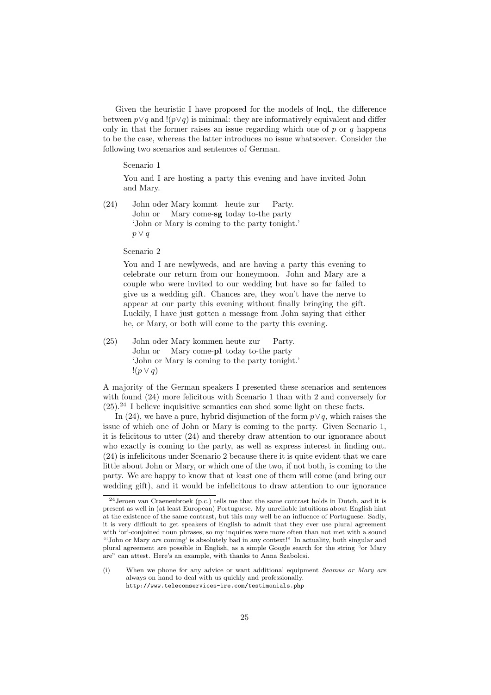Given the heuristic I have proposed for the models of InqL, the difference between  $p\vee q$  and  $!(p\vee q)$  is minimal: they are informatively equivalent and differ only in that the former raises an issue regarding which one of  $p$  or  $q$  happens to be the case, whereas the latter introduces no issue whatsoever. Consider the following two scenarios and sentences of German.

#### Scenario 1

You and I are hosting a party this evening and have invited John and Mary.

(24) John oder Mary kommt heute zur John or Mary come-sg today to-the party Party. 'John or Mary is coming to the party tonight.'  $p \vee q$ 

#### Scenario 2

You and I are newlyweds, and are having a party this evening to celebrate our return from our honeymoon. John and Mary are a couple who were invited to our wedding but have so far failed to give us a wedding gift. Chances are, they won't have the nerve to appear at our party this evening without finally bringing the gift. Luckily, I have just gotten a message from John saying that either he, or Mary, or both will come to the party this evening.

(25) John oder Mary kommen heute zur John or Mary come-pl today to-the party Party. 'John or Mary is coming to the party tonight.'  $!(p \vee q)$ 

A majority of the German speakers I presented these scenarios and sentences with found (24) more felicitous with Scenario 1 than with 2 and conversely for  $(25).<sup>24</sup>$  I believe inquisitive semantics can shed some light on these facts.

In (24), we have a pure, hybrid disjunction of the form  $p \vee q$ , which raises the issue of which one of John or Mary is coming to the party. Given Scenario 1, it is felicitous to utter (24) and thereby draw attention to our ignorance about who exactly is coming to the party, as well as express interest in finding out. (24) is infelicitous under Scenario 2 because there it is quite evident that we care little about John or Mary, or which one of the two, if not both, is coming to the party. We are happy to know that at least one of them will come (and bring our wedding gift), and it would be infelicitous to draw attention to our ignorance

 $^{24}$ Jeroen van Craenenbroek (p.c.) tells me that the same contrast holds in Dutch, and it is present as well in (at least European) Portuguese. My unreliable intuitions about English hint at the existence of the same contrast, but this may well be an influence of Portuguese. Sadly, it is very difficult to get speakers of English to admit that they ever use plural agreement with 'or'-conjoined noun phrases, so my inquiries were more often than not met with a sound "'John or Mary are coming' is absolutely bad in any context!" In actuality, both singular and plural agreement are possible in English, as a simple Google search for the string "or Mary are" can attest. Here's an example, with thanks to Anna Szabolcsi.

<sup>(</sup>i) When we phone for any advice or want additional equipment Seamus or Mary are always on hand to deal with us quickly and professionally. http://www.telecomservices-ire.com/testimonials.php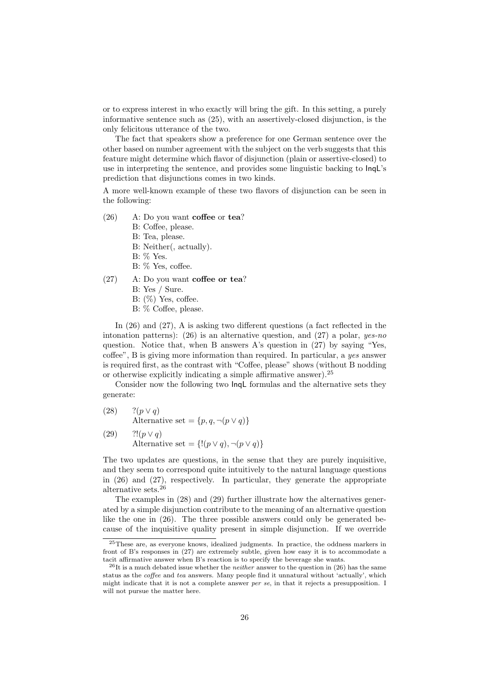or to express interest in who exactly will bring the gift. In this setting, a purely informative sentence such as (25), with an assertively-closed disjunction, is the only felicitous utterance of the two.

The fact that speakers show a preference for one German sentence over the other based on number agreement with the subject on the verb suggests that this feature might determine which flavor of disjunction (plain or assertive-closed) to use in interpreting the sentence, and provides some linguistic backing to InqL's prediction that disjunctions comes in two kinds.

A more well-known example of these two flavors of disjunction can be seen in the following:

- (26) A: Do you want coffee or tea?
	- B: Coffee, please.
	- B: Tea, please.
	- B: Neither(, actually).
	- B: % Yes.
	- B: % Yes, coffee.
- (27) A: Do you want coffee or tea?
	- B: Yes / Sure.
	- B:  $(\%)$  Yes, coffee.
	- B: % Coffee, please.

In (26) and (27), A is asking two different questions (a fact reflected in the intonation patterns): (26) is an alternative question, and (27) a polar, yes-no question. Notice that, when B answers A's question in  $(27)$  by saying "Yes, coffee", B is giving more information than required. In particular, a yes answer is required first, as the contrast with "Coffee, please" shows (without B nodding or otherwise explicitly indicating a simple affirmative answer).<sup>25</sup>

Consider now the following two InqL formulas and the alternative sets they generate:

(28) 
$$
?(p \lor q)
$$
  
Alternative set = { $p, q, \neg(p \lor q)$ }  
(29) 
$$
?!(p \lor q)
$$
  
Alternative set = {!( $p \lor q$ ),  $\neg(p \lor q)$ }

The two updates are questions, in the sense that they are purely inquisitive, and they seem to correspond quite intuitively to the natural language questions in (26) and (27), respectively. In particular, they generate the appropriate alternative sets.<sup>26</sup>

The examples in (28) and (29) further illustrate how the alternatives generated by a simple disjunction contribute to the meaning of an alternative question like the one in (26). The three possible answers could only be generated because of the inquisitive quality present in simple disjunction. If we override

<sup>&</sup>lt;sup>25</sup>These are, as everyone knows, idealized judgments. In practice, the oddness markers in front of B's responses in (27) are extremely subtle, given how easy it is to accommodate a tacit affirmative answer when B's reaction is to specify the beverage she wants.

<sup>&</sup>lt;sup>26</sup>It is a much debated issue whether the *neither* answer to the question in (26) has the same status as the *coffee* and tea answers. Many people find it unnatural without 'actually', which might indicate that it is not a complete answer per se, in that it rejects a presupposition. I will not pursue the matter here.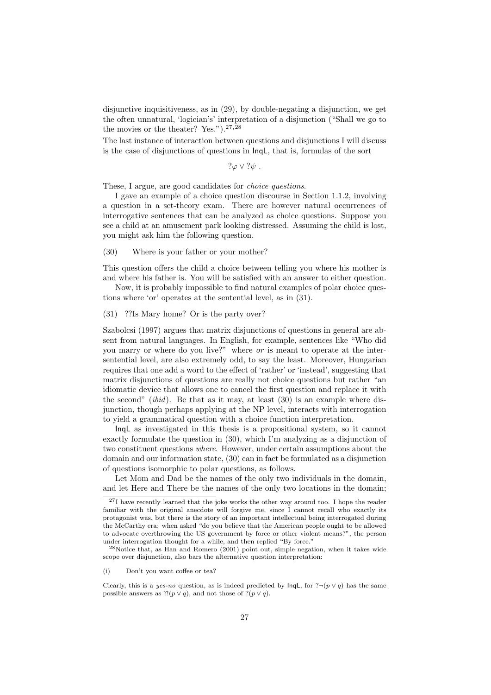disjunctive inquisitiveness, as in (29), by double-negating a disjunction, we get the often unnatural, 'logician's' interpretation of a disjunction ("Shall we go to the movies or the theater? Yes."). $27,28$ 

The last instance of interaction between questions and disjunctions I will discuss is the case of disjunctions of questions in InqL, that is, formulas of the sort

 $?$  $\varphi \vee ?\psi$ .

These, I argue, are good candidates for *choice questions*.

I gave an example of a choice question discourse in Section 1.1.2, involving a question in a set-theory exam. There are however natural occurrences of interrogative sentences that can be analyzed as choice questions. Suppose you see a child at an amusement park looking distressed. Assuming the child is lost, you might ask him the following question.

#### (30) Where is your father or your mother?

This question offers the child a choice between telling you where his mother is and where his father is. You will be satisfied with an answer to either question.

Now, it is probably impossible to find natural examples of polar choice questions where 'or' operates at the sentential level, as in (31).

#### (31) ??Is Mary home? Or is the party over?

Szabolcsi (1997) argues that matrix disjunctions of questions in general are absent from natural languages. In English, for example, sentences like "Who did you marry or where do you live?" where or is meant to operate at the intersentential level, are also extremely odd, to say the least. Moreover, Hungarian requires that one add a word to the effect of 'rather' or 'instead', suggesting that matrix disjunctions of questions are really not choice questions but rather "an idiomatic device that allows one to cancel the first question and replace it with the second" *(ibid)*. Be that as it may, at least  $(30)$  is an example where disjunction, though perhaps applying at the NP level, interacts with interrogation to yield a grammatical question with a choice function interpretation.

InqL as investigated in this thesis is a propositional system, so it cannot exactly formulate the question in (30), which I'm analyzing as a disjunction of two constituent questions where. However, under certain assumptions about the domain and our information state, (30) can in fact be formulated as a disjunction of questions isomorphic to polar questions, as follows.

Let Mom and Dad be the names of the only two individuals in the domain, and let Here and There be the names of the only two locations in the domain;

<sup>&</sup>lt;sup>27</sup>I have recently learned that the joke works the other way around too. I hope the reader familiar with the original anecdote will forgive me, since I cannot recall who exactly its protagonist was, but there is the story of an important intellectual being interrogated during the McCarthy era: when asked "do you believe that the American people ought to be allowed to advocate overthrowing the US government by force or other violent means?", the person under interrogation thought for a while, and then replied "By force."

 $28$ Notice that, as Han and Romero (2001) point out, simple negation, when it takes wide scope over disjunction, also bars the alternative question interpretation:

<sup>(</sup>i) Don't you want coffee or tea?

Clearly, this is a yes-no question, as is indeed predicted by  $\text{InqL}$ , for ? $\neg (p \lor q)$  has the same possible answers as ?! $(p \vee q)$ , and not those of  $?p \vee q$ .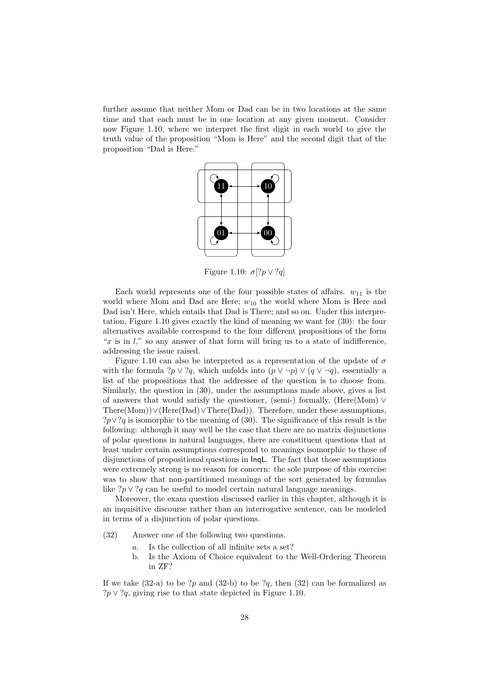further assume that neither Mom or Dad can be in two locations at the same time and that each must be in one location at any given moment. Consider now Figure 1.10, where we interpret the first digit in each world to give the truth value of the proposition "Mom is Here" and the second digit that of the proposition "Dad is Here."



Figure 1.10:  $\sigma$ [? $p \vee$ ? $q$ ]

Each world represents one of the four possible states of affairs.  $w_{11}$  is the world where Mom and Dad are Here;  $w_{10}$  the world where Mom is Here and Dad isn't Here, which entails that Dad is There; and so on. Under this interpretation, Figure 1.10 gives exactly the kind of meaning we want for (30): the four alternatives available correspond to the four different propositions of the form "x is in  $l$ ," so any answer of that form will bring us to a state of indifference, addressing the issue raised.

Figure 1.10 can also be interpreted as a representation of the update of  $\sigma$ with the formula ?p  $\vee$  ?q, which unfolds into  $(p \vee \neg p) \vee (q \vee \neg q)$ , essentially a list of the propositions that the addressee of the question is to choose from. Similarly, the question in (30), under the assumptions made above, gives a list of answers that would satisfy the questioner, (semi-) formally, (Here(Mom) ∨ There(Mom))∨(Here(Dad)∨There(Dad)). Therefore, under these assumptions, ?p∨?q is isomorphic to the meaning of (30). The significance of this result is the following: although it may well be the case that there are no matrix disjunctions of polar questions in natural languages, there are constituent questions that at least under certain assumptions correspond to meanings isomorphic to those of disjunctions of propositional questions in InqL. The fact that those assumptions were extremely strong is no reason for concern: the sole purpose of this exercise was to show that non-partitioned meanings of the sort generated by formulas like  $?p \vee ?q$  can be useful to model certain natural language meanings.

Moreover, the exam question discussed earlier in this chapter, although it is an inquisitive discourse rather than an interrogative sentence, can be modeled in terms of a disjunction of polar questions.

(32) Answer one of the following two questions.

- a. Is the collection of all infinite sets a set?
- b. Is the Axiom of Choice equivalent to the Well-Ordering Theorem in ZF?

If we take  $(32-a)$  to be ?p and  $(32-b)$  to be ?q, then  $(32)$  can be formalized as  $?p \vee ?q$ , giving rise to that state depicted in Figure 1.10.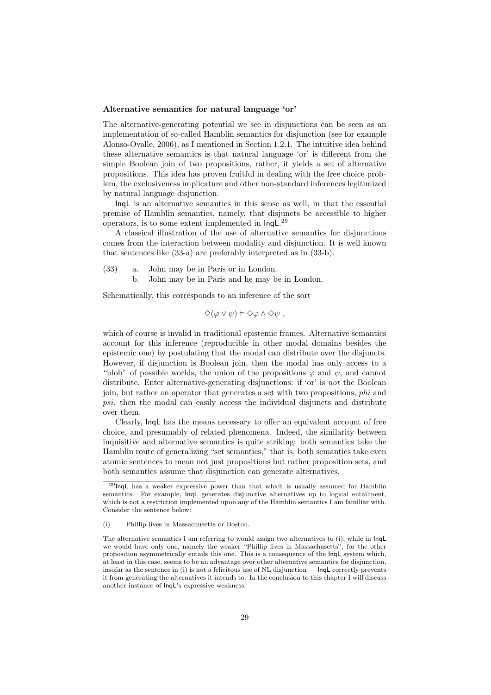#### Alternative semantics for natural language 'or'

The alternative-generating potential we see in disjunctions can be seen as an implementation of so-called Hamblin semantics for disjunction (see for example Alonso-Ovalle, 2006), as I mentioned in Section 1.2.1. The intuitive idea behind these alternative semantics is that natural language 'or' is different from the simple Boolean join of two propositions, rather, it yields a set of alternative propositions. This idea has proven fruitful in dealing with the free choice problem, the exclusiveness implicature and other non-standard inferences legitimized by natural language disjunction.

InqL is an alternative semantics in this sense as well, in that the essential premise of Hamblin semantics, namely, that disjuncts be accessible to higher operators, is to some extent implemented in  $InqL<sup>29</sup>$ 

A classical illustration of the use of alternative semantics for disjunctions comes from the interaction between modality and disjunction. It is well known that sentences like (33-a) are preferably interpreted as in (33-b).

- (33) a. John may be in Paris or in London.
	- b. John may be in Paris and he may be in London.

Schematically, this corresponds to an inference of the sort

$$
\diamondsuit(\varphi\vee\psi)\vDash\diamondsuit\varphi\wedge\diamondsuit\psi\ ,
$$

which of course is invalid in traditional epistemic frames. Alternative semantics account for this inference (reproducible in other modal domains besides the epistemic one) by postulating that the modal can distribute over the disjuncts. However, if disjunction is Boolean join, then the modal has only access to a "blob" of possible worlds, the union of the propositions  $\varphi$  and  $\psi$ , and cannot distribute. Enter alternative-generating disjunctions: if 'or' is *not* the Boolean join, but rather an operator that generates a set with two propositions, phi and psi, then the modal can easily access the individual disjuncts and distribute over them.

Clearly, InqL has the means necessary to offer an equivalent account of free choice, and presumably of related phenomena. Indeed, the similarity between inquisitive and alternative semantics is quite striking: both semantics take the Hamblin route of generalizing "set semantics," that is, both semantics take even atomic sentences to mean not just propositions but rather proposition sets, and both semantics assume that disjunction can generate alternatives.

<sup>29</sup>InqL has a weaker expressive power than that which is usually assumed for Hamblin semantics. For example, InqL generates disjunctive alternatives up to logical entailment, which is not a restriction implemented upon any of the Hamblin semantics I am familiar with. Consider the sentence below:

<sup>(</sup>i) Phillip lives in Massachusetts or Boston.

The alternative semantics I am referring to would assign two alternatives to (i), while in InqL we would have only one, namely the weaker "Phillip lives in Massachusetts", for the other proposition asymmetrically entails this one. This is a consequence of the InqL system which, at least in this case, seems to be an advantage over other alternative semantics for disjunction, insofar as the sentence in (i) is not a felicitous use of NL disjunction — InqL correctly prevents it from generating the alternatives it intends to. In the conclusion to this chapter I will discuss another instance of InqL's expressive weakness.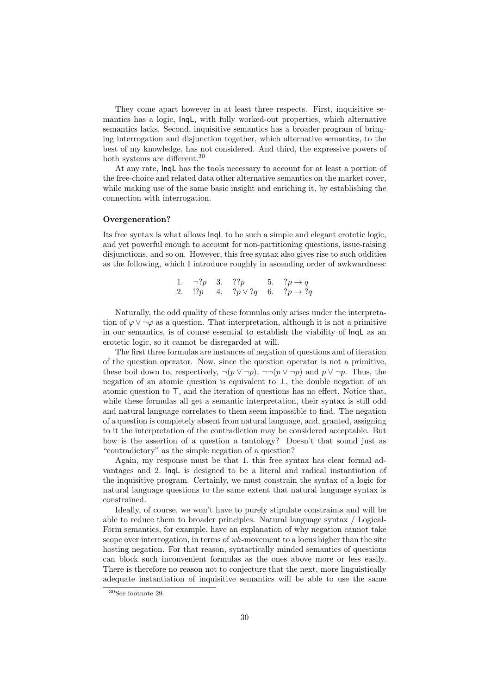They come apart however in at least three respects. First, inquisitive semantics has a logic, InqL, with fully worked-out properties, which alternative semantics lacks. Second, inquisitive semantics has a broader program of bringing interrogation and disjunction together, which alternative semantics, to the best of my knowledge, has not considered. And third, the expressive powers of both systems are different.<sup>30</sup>

At any rate, InqL has the tools necessary to account for at least a portion of the free-choice and related data other alternative semantics on the market cover, while making use of the same basic insight and enriching it, by establishing the connection with interrogation.

#### Overgeneration?

Its free syntax is what allows InqL to be such a simple and elegant erotetic logic, and yet powerful enough to account for non-partitioning questions, issue-raising disjunctions, and so on. However, this free syntax also gives rise to such oddities as the following, which I introduce roughly in ascending order of awkwardness:

1. 
$$
\neg ?p
$$
 3.  $\frac{??p}{?p}$  5.  $\frac{?p \rightarrow q}{?p \rightarrow ?q}$   
2.  $\frac{!?p}{?p}$  4.  $\frac{?p \vee ?q}{?p}$  6.  $\frac{?p \rightarrow ?q}{?p}$ 

Naturally, the odd quality of these formulas only arises under the interpretation of  $\varphi \vee \neg \varphi$  as a question. That interpretation, although it is not a primitive in our semantics, is of course essential to establish the viability of InqL as an erotetic logic, so it cannot be disregarded at will.

The first three formulas are instances of negation of questions and of iteration of the question operator. Now, since the question operator is not a primitive, these boil down to, respectively,  $\neg(p \lor \neg p)$ ,  $\neg\neg(p \lor \neg p)$  and  $p \lor \neg p$ . Thus, the negation of an atomic question is equivalent to  $\perp$ , the double negation of an atomic question to  $\top$ , and the iteration of questions has no effect. Notice that, while these formulas all get a semantic interpretation, their syntax is still odd and natural language correlates to them seem impossible to find. The negation of a question is completely absent from natural language, and, granted, assigning to it the interpretation of the contradiction may be considered acceptable. But how is the assertion of a question a tautology? Doesn't that sound just as "contradictory" as the simple negation of a question?

Again, my response must be that 1. this free syntax has clear formal advantages and 2. InqL is designed to be a literal and radical instantiation of the inquisitive program. Certainly, we must constrain the syntax of a logic for natural language questions to the same extent that natural language syntax is constrained.

Ideally, of course, we won't have to purely stipulate constraints and will be able to reduce them to broader principles. Natural language syntax / Logical-Form semantics, for example, have an explanation of why negation cannot take scope over interrogation, in terms of wh-movement to a locus higher than the site hosting negation. For that reason, syntactically minded semantics of questions can block such inconvenient formulas as the ones above more or less easily. There is therefore no reason not to conjecture that the next, more linguistically adequate instantiation of inquisitive semantics will be able to use the same

<sup>30</sup>See footnote 29.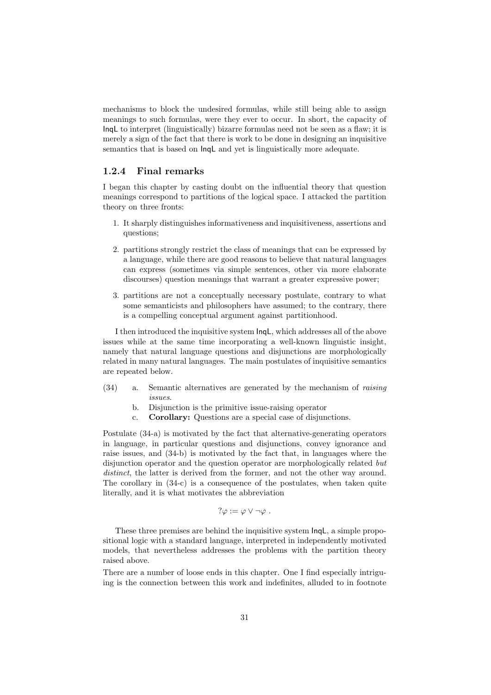mechanisms to block the undesired formulas, while still being able to assign meanings to such formulas, were they ever to occur. In short, the capacity of InqL to interpret (linguistically) bizarre formulas need not be seen as a flaw; it is merely a sign of the fact that there is work to be done in designing an inquisitive semantics that is based on InqL and yet is linguistically more adequate.

#### 1.2.4 Final remarks

I began this chapter by casting doubt on the influential theory that question meanings correspond to partitions of the logical space. I attacked the partition theory on three fronts:

- 1. It sharply distinguishes informativeness and inquisitiveness, assertions and questions;
- 2. partitions strongly restrict the class of meanings that can be expressed by a language, while there are good reasons to believe that natural languages can express (sometimes via simple sentences, other via more elaborate discourses) question meanings that warrant a greater expressive power;
- 3. partitions are not a conceptually necessary postulate, contrary to what some semanticists and philosophers have assumed; to the contrary, there is a compelling conceptual argument against partitionhood.

I then introduced the inquisitive system InqL, which addresses all of the above issues while at the same time incorporating a well-known linguistic insight, namely that natural language questions and disjunctions are morphologically related in many natural languages. The main postulates of inquisitive semantics are repeated below.

- (34) a. Semantic alternatives are generated by the mechanism of raising issues.
	- b. Disjunction is the primitive issue-raising operator
	- c. Corollary: Questions are a special case of disjunctions.

Postulate (34-a) is motivated by the fact that alternative-generating operators in language, in particular questions and disjunctions, convey ignorance and raise issues, and (34-b) is motivated by the fact that, in languages where the disjunction operator and the question operator are morphologically related but distinct, the latter is derived from the former, and not the other way around. The corollary in (34-c) is a consequence of the postulates, when taken quite literally, and it is what motivates the abbreviation

$$
?\varphi := \varphi \vee \neg \varphi .
$$

These three premises are behind the inquisitive system InqL, a simple propositional logic with a standard language, interpreted in independently motivated models, that nevertheless addresses the problems with the partition theory raised above.

There are a number of loose ends in this chapter. One I find especially intriguing is the connection between this work and indefinites, alluded to in footnote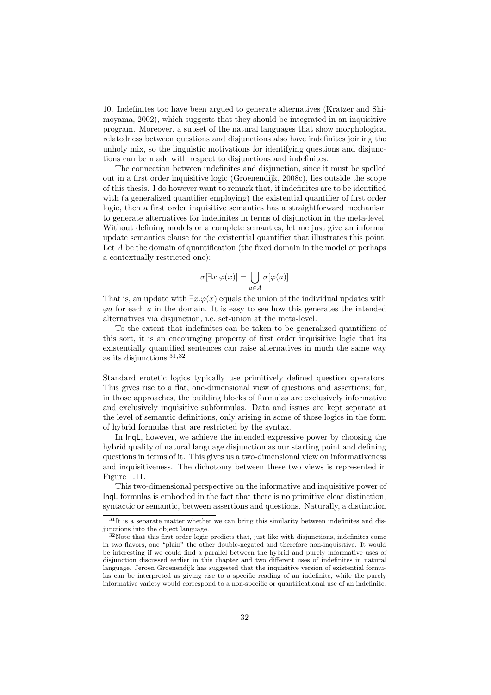10. Indefinites too have been argued to generate alternatives (Kratzer and Shimoyama, 2002), which suggests that they should be integrated in an inquisitive program. Moreover, a subset of the natural languages that show morphological relatedness between questions and disjunctions also have indefinites joining the unholy mix, so the linguistic motivations for identifying questions and disjunctions can be made with respect to disjunctions and indefinites.

The connection between indefinites and disjunction, since it must be spelled out in a first order inquisitive logic (Groenendijk, 2008c), lies outside the scope of this thesis. I do however want to remark that, if indefinites are to be identified with (a generalized quantifier employing) the existential quantifier of first order logic, then a first order inquisitive semantics has a straightforward mechanism to generate alternatives for indefinites in terms of disjunction in the meta-level. Without defining models or a complete semantics, let me just give an informal update semantics clause for the existential quantifier that illustrates this point. Let A be the domain of quantification (the fixed domain in the model or perhaps a contextually restricted one):

$$
\sigma[\exists x.\varphi(x)]=\bigcup_{a\in A}\sigma[\varphi(a)]
$$

That is, an update with  $\exists x.\varphi(x)$  equals the union of the individual updates with  $\varphi a$  for each a in the domain. It is easy to see how this generates the intended alternatives via disjunction, i.e. set-union at the meta-level.

To the extent that indefinites can be taken to be generalized quantifiers of this sort, it is an encouraging property of first order inquisitive logic that its existentially quantified sentences can raise alternatives in much the same way as its disjunctions.  $31,32$ 

Standard erotetic logics typically use primitively defined question operators. This gives rise to a flat, one-dimensional view of questions and assertions; for, in those approaches, the building blocks of formulas are exclusively informative and exclusively inquisitive subformulas. Data and issues are kept separate at the level of semantic definitions, only arising in some of those logics in the form of hybrid formulas that are restricted by the syntax.

In InqL, however, we achieve the intended expressive power by choosing the hybrid quality of natural language disjunction as our starting point and defining questions in terms of it. This gives us a two-dimensional view on informativeness and inquisitiveness. The dichotomy between these two views is represented in Figure 1.11.

This two-dimensional perspective on the informative and inquisitive power of InqL formulas is embodied in the fact that there is no primitive clear distinction, syntactic or semantic, between assertions and questions. Naturally, a distinction

<sup>31</sup>It is a separate matter whether we can bring this similarity between indefinites and disjunctions into the object language.

<sup>32</sup>Note that this first order logic predicts that, just like with disjunctions, indefinites come in two flavors, one "plain" the other double-negated and therefore non-inquisitive. It would be interesting if we could find a parallel between the hybrid and purely informative uses of disjunction discussed earlier in this chapter and two different uses of indefinites in natural language. Jeroen Groenendijk has suggested that the inquisitive version of existential formulas can be interpreted as giving rise to a specific reading of an indefinite, while the purely informative variety would correspond to a non-specific or quantificational use of an indefinite.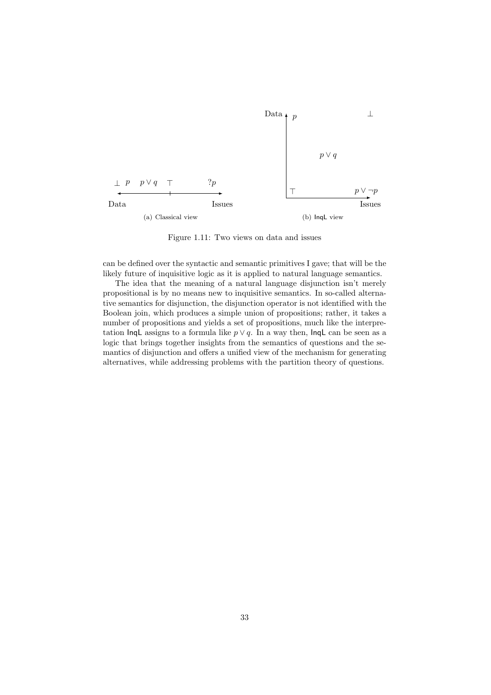

Figure 1.11: Two views on data and issues

can be defined over the syntactic and semantic primitives I gave; that will be the likely future of inquisitive logic as it is applied to natural language semantics.

The idea that the meaning of a natural language disjunction isn't merely propositional is by no means new to inquisitive semantics. In so-called alternative semantics for disjunction, the disjunction operator is not identified with the Boolean join, which produces a simple union of propositions; rather, it takes a number of propositions and yields a set of propositions, much like the interpretation  $\text{Inql}$  assigns to a formula like  $p \vee q$ . In a way then,  $\text{Inql}$  can be seen as a logic that brings together insights from the semantics of questions and the semantics of disjunction and offers a unified view of the mechanism for generating alternatives, while addressing problems with the partition theory of questions.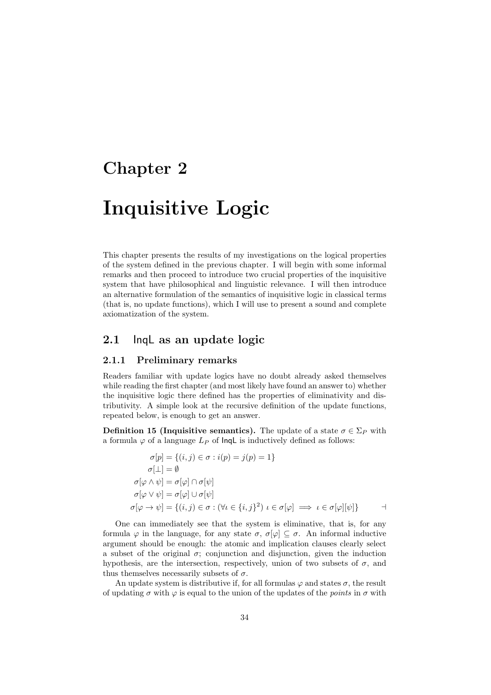## Chapter 2

## Inquisitive Logic

This chapter presents the results of my investigations on the logical properties of the system defined in the previous chapter. I will begin with some informal remarks and then proceed to introduce two crucial properties of the inquisitive system that have philosophical and linguistic relevance. I will then introduce an alternative formulation of the semantics of inquisitive logic in classical terms (that is, no update functions), which I will use to present a sound and complete axiomatization of the system.

## 2.1 InqL as an update logic

#### 2.1.1 Preliminary remarks

Readers familiar with update logics have no doubt already asked themselves while reading the first chapter (and most likely have found an answer to) whether the inquisitive logic there defined has the properties of eliminativity and distributivity. A simple look at the recursive definition of the update functions, repeated below, is enough to get an answer.

**Definition 15 (Inquisitive semantics).** The update of a state  $\sigma \in \Sigma_P$  with a formula  $\varphi$  of a language  $L_P$  of lnqL is inductively defined as follows:

$$
\sigma[p] = \{(i, j) \in \sigma : i(p) = j(p) = 1\}
$$
  
\n
$$
\sigma[\bot] = \emptyset
$$
  
\n
$$
\sigma[\varphi \land \psi] = \sigma[\varphi] \cap \sigma[\psi]
$$
  
\n
$$
\sigma[\varphi \lor \psi] = \sigma[\varphi] \cup \sigma[\psi]
$$
  
\n
$$
\sigma[\varphi \to \psi] = \{(i, j) \in \sigma : (\forall \iota \in \{i, j\}^2) \ \iota \in \sigma[\varphi] \implies \iota \in \sigma[\varphi][\psi]\}
$$

One can immediately see that the system is eliminative, that is, for any formula  $\varphi$  in the language, for any state  $\sigma$ ,  $\sigma[\varphi] \subseteq \sigma$ . An informal inductive argument should be enough: the atomic and implication clauses clearly select a subset of the original  $\sigma$ ; conjunction and disjunction, given the induction hypothesis, are the intersection, respectively, union of two subsets of  $\sigma$ , and thus themselves necessarily subsets of  $\sigma$ .

An update system is distributive if, for all formulas  $\varphi$  and states  $\sigma$ , the result of updating  $\sigma$  with  $\varphi$  is equal to the union of the updates of the *points* in  $\sigma$  with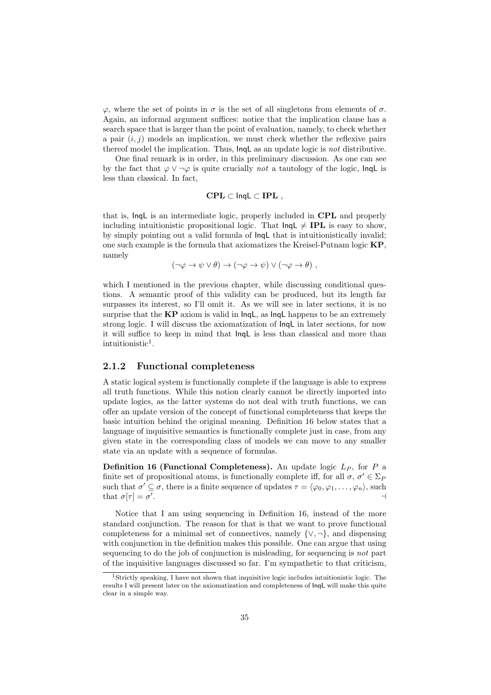$\varphi$ , where the set of points in  $\sigma$  is the set of all singletons from elements of  $\sigma$ . Again, an informal argument suffices: notice that the implication clause has a search space that is larger than the point of evaluation, namely, to check whether a pair  $(i, j)$  models an implication, we must check whether the reflexive pairs thereof model the implication. Thus, InqL as an update logic is not distributive.

One final remark is in order, in this preliminary discussion. As one can see by the fact that  $\varphi \vee \neg \varphi$  is quite crucially not a tautology of the logic, lngL is less than classical. In fact,

$$
\mathbf{CPL} \subset \mathsf{Inql} \subset \mathbf{IPL} \ ,
$$

that is, InqL is an intermediate logic, properly included in CPL and properly including intuitionistic propositional logic. That  $\text{Inql } \neq \text{IPL}$  is easy to show, by simply pointing out a valid formula of InqL that is intuitionistically invalid; one such example is the formula that axiomatizes the Kreisel-Putnam logic KP, namely

$$
(\neg \varphi \to \psi \lor \theta) \to (\neg \varphi \to \psi) \lor (\neg \varphi \to \theta) ,
$$

which I mentioned in the previous chapter, while discussing conditional questions. A semantic proof of this validity can be produced, but its length far surpasses its interest, so I'll omit it. As we will see in later sections, it is no surprise that the  $KP$  axiom is valid in  $\text{InqL}$ , as  $\text{InqL}$  happens to be an extremely strong logic. I will discuss the axiomatization of InqL in later sections, for now it will suffice to keep in mind that InqL is less than classical and more than intuitionistic<sup>1</sup>.

#### 2.1.2 Functional completeness

A static logical system is functionally complete if the language is able to express all truth functions. While this notion clearly cannot be directly imported into update logics, as the latter systems do not deal with truth functions, we can offer an update version of the concept of functional completeness that keeps the basic intuition behind the original meaning. Definition 16 below states that a language of inquisitive semantics is functionally complete just in case, from any given state in the corresponding class of models we can move to any smaller state via an update with a sequence of formulas.

**Definition 16 (Functional Completeness).** An update logic  $L_p$ , for P a finite set of propositional atoms, is functionally complete iff, for all  $\sigma$ ,  $\sigma' \in \Sigma_F$ such that  $\sigma' \subseteq \sigma$ , there is a finite sequence of updates  $\tau = \langle \varphi_0, \varphi_1, \ldots, \varphi_n \rangle$ , such that  $\sigma[\tau] = \sigma'$ . A construction of the construction of the construction of the construction of the construction of the construction of the construction of the construction of the construction of the construction of the construction of th

Notice that I am using sequencing in Definition 16, instead of the more standard conjunction. The reason for that is that we want to prove functional completeness for a minimal set of connectives, namely  $\{ \vee, \neg \}$ , and dispensing with conjunction in the definition makes this possible. One can argue that using sequencing to do the job of conjunction is misleading, for sequencing is not part of the inquisitive languages discussed so far. I'm sympathetic to that criticism,

<sup>1</sup>Strictly speaking, I have not shown that inquisitive logic includes intuitionistic logic. The results I will present later on the axiomatization and completeness of InqL will make this quite clear in a simple way.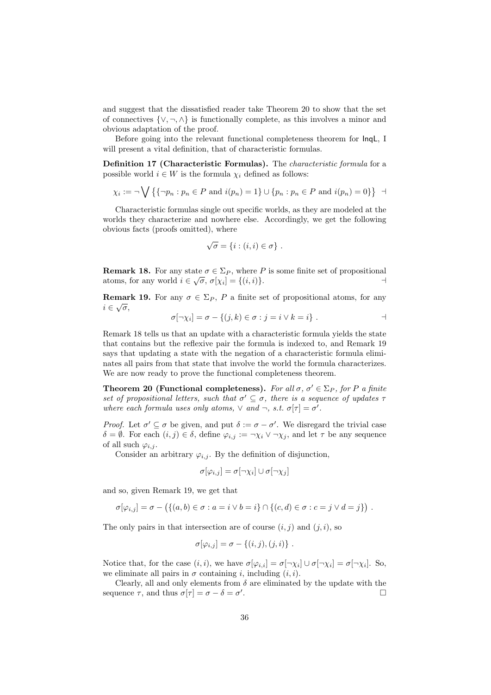and suggest that the dissatisfied reader take Theorem 20 to show that the set of connectives  $\{ \vee, \neg, \wedge \}$  is functionally complete, as this involves a minor and obvious adaptation of the proof.

Before going into the relevant functional completeness theorem for InqL, I will present a vital definition, that of characteristic formulas.

Definition 17 (Characteristic Formulas). The *characteristic formula* for a possible world  $i \in W$  is the formula  $\chi_i$  defined as follows:

$$
\chi_i := \neg \bigvee \{ \{ \neg p_n : p_n \in P \text{ and } i(p_n) = 1 \} \cup \{ p_n : p_n \in P \text{ and } i(p_n) = 0 \} \} \quad \exists
$$

Characteristic formulas single out specific worlds, as they are modeled at the worlds they characterize and nowhere else. Accordingly, we get the following obvious facts (proofs omitted), where

$$
\sqrt{\sigma} = \{i : (i,i) \in \sigma\} .
$$

**Remark 18.** For any state  $\sigma \in \Sigma_P$ , where P is some finite set of propositional atoms, for any world  $i \in \sqrt{\sigma}, \sigma[\chi_i] = \{(i,i)\}.$ 

**Remark 19.** For any  $\sigma \in \Sigma_P$ , P a finite set of propositional atoms, for any  $i \in \sqrt{\sigma},$ 

$$
\sigma[\neg \chi_i] = \sigma - \{(j,k) \in \sigma : j = i \vee k = i\} .
$$

Remark 18 tells us that an update with a characteristic formula yields the state that contains but the reflexive pair the formula is indexed to, and Remark 19 says that updating a state with the negation of a characteristic formula eliminates all pairs from that state that involve the world the formula characterizes. We are now ready to prove the functional completeness theorem.

**Theorem 20 (Functional completeness).** For all  $\sigma$ ,  $\sigma' \in \Sigma_P$ , for P a finite set of propositional letters, such that  $\sigma' \subseteq \sigma$ , there is a sequence of updates  $\tau$ where each formula uses only atoms,  $\vee$  and  $\neg$ , s.t.  $\sigma[\tau] = \sigma'$ .

Proof. Let  $\sigma' \subseteq \sigma$  be given, and put  $\delta := \sigma - \sigma'$ . We disregard the trivial case  $\delta = \emptyset$ . For each  $(i, j) \in \delta$ , define  $\varphi_{i,j} := \neg \chi_i \vee \neg \chi_j$ , and let  $\tau$  be any sequence of all such  $\varphi_{i,j}$ .

Consider an arbitrary  $\varphi_{i,j}$ . By the definition of disjunction,

$$
\sigma[\varphi_{i,j}] = \sigma[\neg \chi_i] \cup \sigma[\neg \chi_j]
$$

and so, given Remark 19, we get that

$$
\sigma[\varphi_{i,j}] = \sigma - (\{(a,b) \in \sigma : a = i \vee b = i\} \cap \{(c,d) \in \sigma : c = j \vee d = j\})
$$

The only pairs in that intersection are of course  $(i, j)$  and  $(j, i)$ , so

$$
\sigma[\varphi_{i,j}] = \sigma - \{(i,j),(j,i)\}.
$$

Notice that, for the case  $(i, i)$ , we have  $\sigma[\varphi_{i,i}] = \sigma[\neg \chi_i] \cup \sigma[\neg \chi_i] = \sigma[\neg \chi_i]$ . So, we eliminate all pairs in  $\sigma$  containing i, including  $(i, i)$ .

Clearly, all and only elements from  $\delta$  are eliminated by the update with the sequence  $\tau$ , and thus  $\sigma[\tau] = \sigma - \delta = \sigma'$ . В последните последните под на пример, на пример, на пример, на пример, на пример, на пример, на пример, на<br>В последните под на пример, на пример, на пример, на пример, на пример, на пример, на пример, на пример, на пр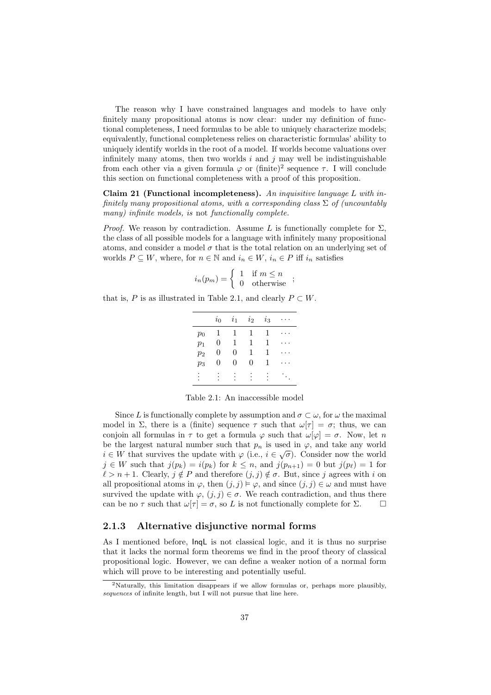The reason why I have constrained languages and models to have only finitely many propositional atoms is now clear: under my definition of functional completeness, I need formulas to be able to uniquely characterize models; equivalently, functional completeness relies on characteristic formulas' ability to uniquely identify worlds in the root of a model. If worlds become valuations over infinitely many atoms, then two worlds  $i$  and  $j$  may well be indistinguishable from each other via a given formula  $\varphi$  or (finite)<sup>2</sup> sequence  $\tau$ . I will conclude this section on functional completeness with a proof of this proposition.

Claim 21 (Functional incompleteness). An inquisitive language L with infinitely many propositional atoms, with a corresponding class  $\Sigma$  of (uncountably many) infinite models, is not functionally complete.

*Proof.* We reason by contradiction. Assume L is functionally complete for  $\Sigma$ , the class of all possible models for a language with infinitely many propositional atoms, and consider a model  $\sigma$  that is the total relation on an underlying set of worlds  $P \subseteq W$ , where, for  $n \in \mathbb{N}$  and  $i_n \in W$ ,  $i_n \in P$  iff  $i_n$  satisfies

$$
i_n(p_m) = \begin{cases} 1 & \text{if } m \le n \\ 0 & \text{otherwise} \end{cases};
$$

that is, P is as illustrated in Table 2.1, and clearly  $P \subset W$ .

|       | $i_0$ | i <sub>1</sub> | $i_2$        | $i_3$        |  |
|-------|-------|----------------|--------------|--------------|--|
| $p_0$ | 1     | $\mathbf{1}$   | $\mathbf{1}$ | $\mathbf{1}$ |  |
| $p_1$ | 0     | $\mathbf{1}$   | $\mathbf{1}$ | $\mathbf{1}$ |  |
| $p_2$ | 0     | 0              | $\mathbf 1$  | $\mathbf{1}$ |  |
| $p_3$ | 0     | 0              | 0            | 1            |  |
|       |       |                |              |              |  |

Table 2.1: An inaccessible model

Since L is functionally complete by assumption and  $\sigma \subset \omega$ , for  $\omega$  the maximal model in  $\Sigma$ , there is a (finite) sequence  $\tau$  such that  $\omega[\tau] = \sigma$ ; thus, we can conjoin all formulas in  $\tau$  to get a formula  $\varphi$  such that  $\omega[\varphi] = \sigma$ . Now, let n be the largest natural number such that  $p_n$  is used in  $\varphi$ , and take any world  $i \in W$  that survives the update with  $\varphi$  (i.e.,  $i \in \sqrt{\sigma}$ ). Consider now the world  $j \in W$  such that  $j(p_k) = i(p_k)$  for  $k \leq n$ , and  $j(p_{n+1}) = 0$  but  $j(p_\ell) = 1$  for  $\ell > n + 1$ . Clearly,  $j \notin P$  and therefore  $(j, j) \notin \sigma$ . But, since j agrees with i on all propositional atoms in  $\varphi$ , then  $(j, j) \models \varphi$ , and since  $(j, j) \in \omega$  and must have survived the update with  $\varphi$ ,  $(j, j) \in \sigma$ . We reach contradiction, and thus there can be no  $\tau$  such that  $\omega[\tau] = \sigma$ , so L is not functionally complete for  $\Sigma$ .

#### 2.1.3 Alternative disjunctive normal forms

As I mentioned before, InqL is not classical logic, and it is thus no surprise that it lacks the normal form theorems we find in the proof theory of classical propositional logic. However, we can define a weaker notion of a normal form which will prove to be interesting and potentially useful.

<sup>&</sup>lt;sup>2</sup>Naturally, this limitation disappears if we allow formulas or, perhaps more plausibly, sequences of infinite length, but I will not pursue that line here.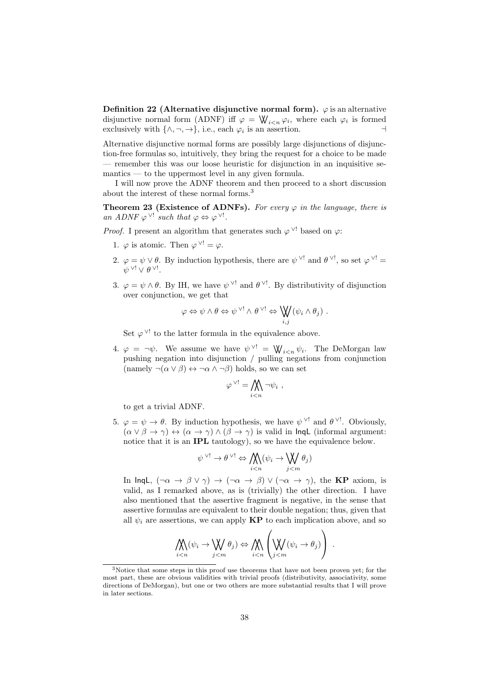Definition 22 (Alternative disjunctive normal form).  $\varphi$  is an alternative disjunctive normal form (ADNF) iff  $\varphi = \mathsf{W}_{i \leq n} \varphi_i$ , where each  $\varphi_i$  is formed exclusively with  $\{\wedge, \neg, \rightarrow\}$ , i.e., each  $\varphi_i$  is an assertion.

Alternative disjunctive normal forms are possibly large disjunctions of disjunction-free formulas so, intuitively, they bring the request for a choice to be made — remember this was our loose heuristic for disjunction in an inquisitive semantics — to the uppermost level in any given formula.

I will now prove the ADNF theorem and then proceed to a short discussion about the interest of these normal forms.<sup>3</sup>

**Theorem 23 (Existence of ADNFs).** For every  $\varphi$  in the language, there is an ADNF  $\varphi^{\vee!}$  such that  $\varphi \Leftrightarrow \varphi^{\vee!}$ .

*Proof.* I present an algorithm that generates such  $\varphi^{\vee!}$  based on  $\varphi$ :

- 1.  $\varphi$  is atomic. Then  $\varphi^{\vee!} = \varphi$ .
- 2.  $\varphi = \psi \vee \theta$ . By induction hypothesis, there are  $\psi^{\vee!}$  and  $\theta^{\vee!}$ , so set  $\varphi^{\vee!}$  $\psi^{\vee!}\vee\theta^{\vee!}.$
- 3.  $\varphi = \psi \wedge \theta$ . By IH, we have  $\psi^{\vee!}$  and  $\theta^{\vee!}$ . By distributivity of disjunction over conjunction, we get that

$$
\varphi \Leftrightarrow \psi \wedge \theta \Leftrightarrow \psi^{\vee!} \wedge \theta^{\vee!} \Leftrightarrow \bigvee_{i,j} (\psi_i \wedge \theta_j) .
$$

Set  $\varphi^{\vee!}$  to the latter formula in the equivalence above.

4.  $\varphi = -\psi$ . We assume we have  $\psi^{\vee!} = \mathsf{W}_{i \leq n} \psi_i$ . The DeMorgan law pushing negation into disjunction / pulling negations from conjunction (namely  $\neg(\alpha \lor \beta) \leftrightarrow \neg \alpha \land \neg \beta$ ) holds, so we can set

$$
\varphi^{\vee!} = \bigwedge_{i < n} \neg \psi_i \; ,
$$

to get a trivial ADNF.

5.  $\varphi = \psi \to \theta$ . By induction hypothesis, we have  $\psi^{\vee!}$  and  $\theta^{\vee!}$ . Obviously,  $(\alpha \vee \beta \rightarrow \gamma) \leftrightarrow (\alpha \rightarrow \gamma) \wedge (\beta \rightarrow \gamma)$  is valid in lngL (informal argument: notice that it is an IPL tautology), so we have the equivalence below.

$$
\psi^{\vee!} \to \theta^{\vee!} \Leftrightarrow \bigwedge_{i < n} (\psi_i \to \bigvee_{j < m} \theta_j)
$$

In InqL, (¬α → β ∨ γ) → (¬α → β) ∨ (¬α → γ), the KP axiom, is valid, as I remarked above, as is (trivially) the other direction. I have also mentioned that the assertive fragment is negative, in the sense that assertive formulas are equivalent to their double negation; thus, given that all  $\psi_i$  are assertions, we can apply  $\bf{KP}$  to each implication above, and so

$$
\bigwedge_{i
$$

<sup>3</sup>Notice that some steps in this proof use theorems that have not been proven yet; for the most part, these are obvious validities with trivial proofs (distributivity, associativity, some directions of DeMorgan), but one or two others are more substantial results that I will prove in later sections.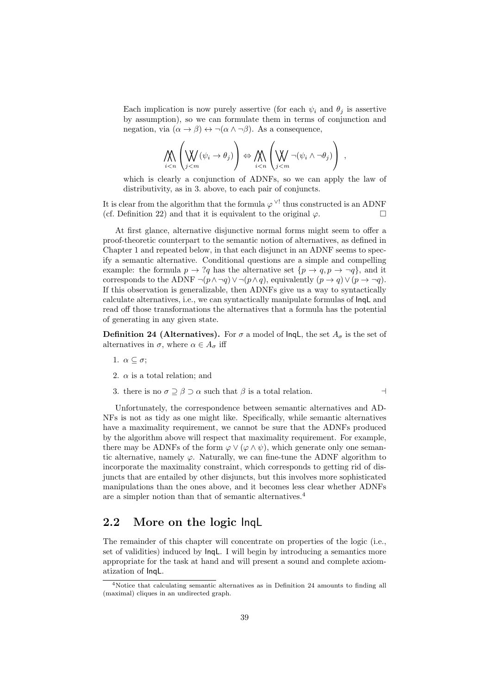Each implication is now purely assertive (for each  $\psi_i$  and  $\theta_j$  is assertive by assumption), so we can formulate them in terms of conjunction and negation, via  $(\alpha \to \beta) \leftrightarrow \neg(\alpha \land \neg \beta)$ . As a consequence,

$$
\bigwedge_{i
$$

which is clearly a conjunction of ADNFs, so we can apply the law of distributivity, as in 3. above, to each pair of conjuncts.

It is clear from the algorithm that the formula  $\varphi^{\vee}$ ! thus constructed is an ADNF (cf. Definition 22) and that it is equivalent to the original  $\varphi$ .

At first glance, alternative disjunctive normal forms might seem to offer a proof-theoretic counterpart to the semantic notion of alternatives, as defined in Chapter 1 and repeated below, in that each disjunct in an ADNF seems to specify a semantic alternative. Conditional questions are a simple and compelling example: the formula  $p \to ?q$  has the alternative set  $\{p \to q, p \to \neg q\}$ , and it corresponds to the ADNF  $\neg(p \land \neg q) \lor \neg(p \land q)$ , equivalently  $(p \to q) \lor (p \to \neg q)$ . If this observation is generalizable, then ADNFs give us a way to syntactically calculate alternatives, i.e., we can syntactically manipulate formulas of InqL and read off those transformations the alternatives that a formula has the potential of generating in any given state.

**Definition 24 (Alternatives).** For  $\sigma$  a model of lnqL, the set  $A_{\sigma}$  is the set of alternatives in  $\sigma$ , where  $\alpha \in A_{\sigma}$  iff

- 1.  $\alpha \subset \sigma$ :
- 2.  $\alpha$  is a total relation; and
- 3. there is no  $\sigma \supseteq \beta \supset \alpha$  such that  $\beta$  is a total relation.

Unfortunately, the correspondence between semantic alternatives and AD-NFs is not as tidy as one might like. Specifically, while semantic alternatives have a maximality requirement, we cannot be sure that the ADNFs produced by the algorithm above will respect that maximality requirement. For example, there may be ADNFs of the form  $\varphi \vee (\varphi \wedge \psi)$ , which generate only one semantic alternative, namely  $\varphi$ . Naturally, we can fine-tune the ADNF algorithm to incorporate the maximality constraint, which corresponds to getting rid of disjuncts that are entailed by other disjuncts, but this involves more sophisticated manipulations than the ones above, and it becomes less clear whether ADNFs are a simpler notion than that of semantic alternatives.<sup>4</sup>

### 2.2 More on the logic InqL

The remainder of this chapter will concentrate on properties of the logic (i.e., set of validities) induced by InqL. I will begin by introducing a semantics more appropriate for the task at hand and will present a sound and complete axiomatization of InqL.

<sup>4</sup>Notice that calculating semantic alternatives as in Definition 24 amounts to finding all (maximal) cliques in an undirected graph.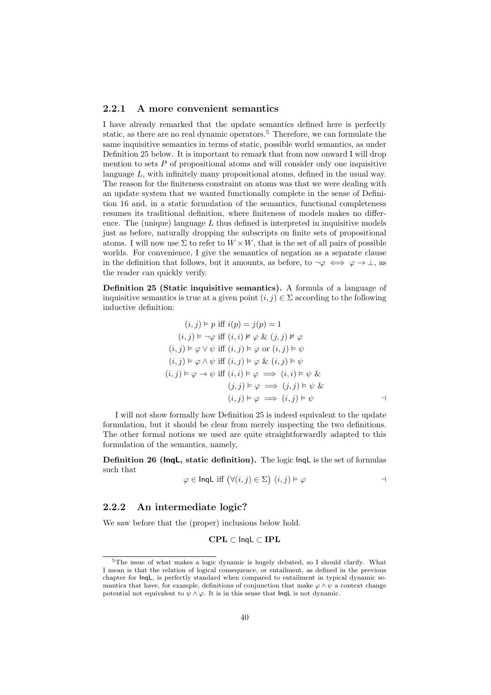#### 2.2.1 A more convenient semantics

I have already remarked that the update semantics defined here is perfectly static, as there are no real dynamic operators.<sup>5</sup> Therefore, we can formulate the same inquisitive semantics in terms of static, possible world semantics, as under Definition 25 below. It is important to remark that from now onward I will drop mention to sets  $P$  of propositional atoms and will consider only one inquisitive language  $L$ , with infinitely many propositional atoms, defined in the usual way. The reason for the finiteness constraint on atoms was that we were dealing with an update system that we wanted functionally complete in the sense of Definition 16 and, in a static formulation of the semantics, functional completeness resumes its traditional definition, where finiteness of models makes no difference. The (unique) language  $L$  thus defined is interpreted in inquisitive models just as before, naturally dropping the subscripts on finite sets of propositional atoms. I will now use  $\Sigma$  to refer to  $W \times W$ , that is the set of all pairs of possible worlds. For convenience, I give the semantics of negation as a separate clause in the definition that follows, but it amounts, as before, to  $\neg \varphi \iff \varphi \to \bot$ , as the reader can quickly verify.

Definition 25 (Static inquisitive semantics). A formula of a language of inquisitive semantics is true at a given point  $(i, j) \in \Sigma$  according to the following inductive definition:

$$
(i, j) \vDash p \text{ iff } i(p) = j(p) = 1
$$
  
\n
$$
(i, j) \vDash \neg \varphi \text{ iff } (i, i) \nvDash \varphi \& (j, j) \nvDash \varphi
$$
  
\n
$$
(i, j) \vDash \varphi \lor \psi \text{ iff } (i, j) \vDash \varphi \text{ or } (i, j) \vDash \psi
$$
  
\n
$$
(i, j) \vDash \varphi \land \psi \text{ iff } (i, j) \vDash \varphi \& (i, j) \vDash \psi
$$
  
\n
$$
(i, j) \vDash \varphi \rightarrow \psi \text{ iff } (i, i) \vDash \varphi \implies (i, i) \vDash \psi \& (j, j) \vDash \varphi \implies (j, j) \vDash \psi \& (i, j) \vDash \varphi \implies (i, j) \vDash \psi
$$

I will not show formally how Definition 25 is indeed equivalent to the update formulation, but it should be clear from merely inspecting the two definitions. The other formal notions we used are quite straightforwardly adapted to this formulation of the semantics, namely,

Definition 26 (InqL, static definition). The logic InqL is the set of formulas such that

$$
\varphi \in \mathsf{Inql\ iff}\ \big(\forall (i,j)\in \Sigma\big)\ (i,j)\vDash \varphi\qquad \qquad \dashv
$$

#### 2.2.2 An intermediate logic?

We saw before that the (proper) inclusions below hold.

$$
\mathbf{CPL} \subset \mathsf{Inql} \subset \mathbf{IPL}
$$

<sup>5</sup>The issue of what makes a logic dynamic is hugely debated, so I should clarify. What I mean is that the relation of logical consequence, or entailment, as defined in the previous chapter for InqL, is perfectly standard when compared to entailment in typical dynamic semantics that have, for example, definitions of conjunction that make  $\varphi \wedge \psi$  a context change potential not equivalent to  $\psi \wedge \varphi$ . It is in this sense that lnal is not dynamic.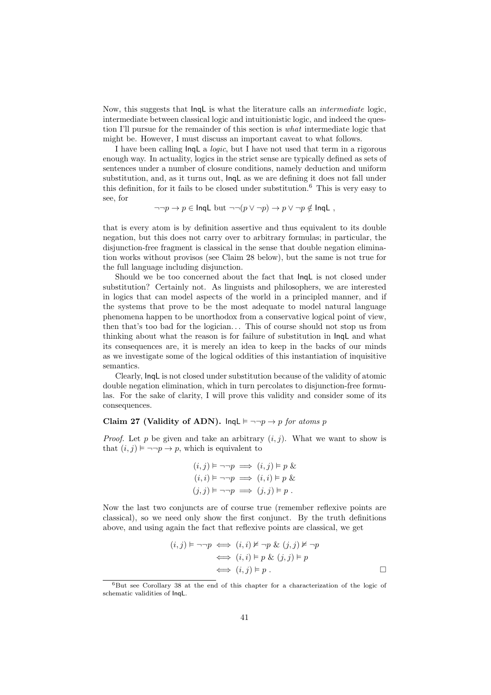Now, this suggests that  $\text{Inql}$  is what the literature calls an *intermediate* logic, intermediate between classical logic and intuitionistic logic, and indeed the question I'll pursue for the remainder of this section is what intermediate logic that might be. However, I must discuss an important caveat to what follows.

I have been calling InqL a logic, but I have not used that term in a rigorous enough way. In actuality, logics in the strict sense are typically defined as sets of sentences under a number of closure conditions, namely deduction and uniform substitution, and, as it turns out, InqL as we are defining it does not fall under this definition, for it fails to be closed under substitution.<sup>6</sup> This is very easy to see, for

$$
\neg\neg p \to p \in \text{Inql but } \neg\neg(p \lor \neg p) \to p \lor \neg p \notin \text{Inql },
$$

that is every atom is by definition assertive and thus equivalent to its double negation, but this does not carry over to arbitrary formulas; in particular, the disjunction-free fragment is classical in the sense that double negation elimination works without provisos (see Claim 28 below), but the same is not true for the full language including disjunction.

Should we be too concerned about the fact that InqL is not closed under substitution? Certainly not. As linguists and philosophers, we are interested in logics that can model aspects of the world in a principled manner, and if the systems that prove to be the most adequate to model natural language phenomena happen to be unorthodox from a conservative logical point of view, then that's too bad for the logician. . . This of course should not stop us from thinking about what the reason is for failure of substitution in InqL and what its consequences are, it is merely an idea to keep in the backs of our minds as we investigate some of the logical oddities of this instantiation of inquisitive semantics.

Clearly, InqL is not closed under substitution because of the validity of atomic double negation elimination, which in turn percolates to disjunction-free formulas. For the sake of clarity, I will prove this validity and consider some of its consequences.

#### Claim 27 (Validity of ADN).  $\text{Ingl } \vDash \neg \neg p \rightarrow p$  for atoms p

*Proof.* Let p be given and take an arbitrary  $(i, j)$ . What we want to show is that  $(i, j) \models \neg \neg p \rightarrow p$ , which is equivalent to

$$
(i, j) \models \neg \neg p \implies (i, j) \models p \& (i, i) \models \neg \neg p \implies (i, i) \models p \& (j, j) \models \neg \neg p \implies (j, j) \models p.
$$

Now the last two conjuncts are of course true (remember reflexive points are classical), so we need only show the first conjunct. By the truth definitions above, and using again the fact that reflexive points are classical, we get

$$
(i,j) \vDash \neg\neg p \iff (i,i) \nvDash \neg p \& (j,j) \nvDash \neg p
$$
  

$$
\iff (i,i) \vDash p \& (j,j) \vDash p
$$
  

$$
\iff (i,j) \vDash p .
$$

<sup>6</sup>But see Corollary 38 at the end of this chapter for a characterization of the logic of schematic validities of InqL.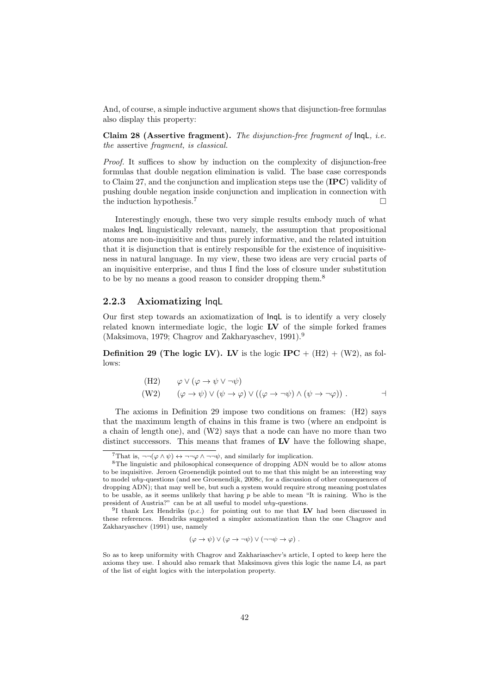And, of course, a simple inductive argument shows that disjunction-free formulas also display this property:

Claim 28 (Assertive fragment). The disjunction-free fragment of lnqL, i.e. the assertive fragment, is classical.

Proof. It suffices to show by induction on the complexity of disjunction-free formulas that double negation elimination is valid. The base case corresponds to Claim 27, and the conjunction and implication steps use the (IPC) validity of pushing double negation inside conjunction and implication in connection with the induction hypothesis.<sup>7</sup>

Interestingly enough, these two very simple results embody much of what makes InqL linguistically relevant, namely, the assumption that propositional atoms are non-inquisitive and thus purely informative, and the related intuition that it is disjunction that is entirely responsible for the existence of inquisitiveness in natural language. In my view, these two ideas are very crucial parts of an inquisitive enterprise, and thus I find the loss of closure under substitution to be by no means a good reason to consider dropping them.<sup>8</sup>

#### 2.2.3 Axiomatizing InqL

Our first step towards an axiomatization of InqL is to identify a very closely related known intermediate logic, the logic  $\bf{LV}$  of the simple forked frames (Maksimova, 1979; Chagrov and Zakharyaschev, 1991).<sup>9</sup>

**Definition 29 (The logic LV). LV** is the logic  $IPC + (H2) + (W2)$ , as follows:

(H2) 
$$
\varphi \lor (\varphi \to \psi \lor \neg \psi)
$$
  
\n(W2)  $(\varphi \to \psi) \lor (\psi \to \varphi) \lor ((\varphi \to \neg \psi) \land (\psi \to \neg \varphi))$ .

The axioms in Definition 29 impose two conditions on frames: (H2) says that the maximum length of chains in this frame is two (where an endpoint is a chain of length one), and (W2) says that a node can have no more than two distinct successors. This means that frames of LV have the following shape,

$$
(\varphi \to \psi) \lor (\varphi \to \neg \psi) \lor (\neg \neg \psi \to \varphi) .
$$

<sup>7</sup>That is,  $\neg\neg(\varphi \land \psi) \leftrightarrow \neg\neg\varphi \land \neg\neg\psi$ , and similarly for implication.

<sup>8</sup>The linguistic and philosophical consequence of dropping ADN would be to allow atoms to be inquisitive. Jeroen Groenendijk pointed out to me that this might be an interesting way to model why-questions (and see Groenendijk, 2008c, for a discussion of other consequences of dropping ADN); that may well be, but such a system would require strong meaning postulates to be usable, as it seems unlikely that having  $p$  be able to mean "It is raining. Who is the president of Austria?" can be at all useful to model why-questions.

<sup>&</sup>lt;sup>9</sup>I thank Lex Hendriks (p.c.) for pointing out to me that LV had been discussed in these references. Hendriks suggested a simpler axiomatization than the one Chagrov and Zakharyaschev (1991) use, namely

So as to keep uniformity with Chagrov and Zakhariaschev's article, I opted to keep here the axioms they use. I should also remark that Maksimova gives this logic the name L4, as part of the list of eight logics with the interpolation property.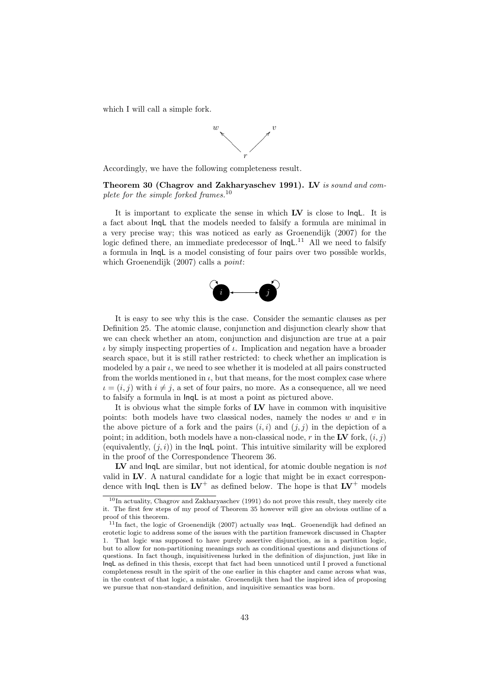which I will call a simple fork.



Accordingly, we have the following completeness result.

Theorem 30 (Chagrov and Zakharyaschev 1991). LV is sound and complete for the simple forked frames.<sup>10</sup>

It is important to explicate the sense in which LV is close to InqL. It is a fact about InqL that the models needed to falsify a formula are minimal in a very precise way; this was noticed as early as Groenendijk (2007) for the logic defined there, an immediate predecessor of  $\text{Inql.}^{11}$  All we need to falsify a formula in InqL is a model consisting of four pairs over two possible worlds, which Groenendijk (2007) calls a *point*:



It is easy to see why this is the case. Consider the semantic clauses as per Definition 25. The atomic clause, conjunction and disjunction clearly show that we can check whether an atom, conjunction and disjunction are true at a pair  $\iota$  by simply inspecting properties of  $\iota$ . Implication and negation have a broader search space, but it is still rather restricted: to check whether an implication is modeled by a pair  $\iota$ , we need to see whether it is modeled at all pairs constructed from the worlds mentioned in  $\iota$ , but that means, for the most complex case where  $i = (i, j)$  with  $i \neq j$ , a set of four pairs, no more. As a consequence, all we need to falsify a formula in InqL is at most a point as pictured above.

It is obvious what the simple forks of LV have in common with inquisitive points: both models have two classical nodes, namely the nodes  $w$  and  $v$  in the above picture of a fork and the pairs  $(i, i)$  and  $(j, j)$  in the depiction of a point; in addition, both models have a non-classical node, r in the LV fork,  $(i, j)$ (equivalently,  $(i, i)$ ) in the  $\text{Inql point}$ . This intuitive similarity will be explored in the proof of the Correspondence Theorem 36.

LV and InqL are similar, but not identical, for atomic double negation is not valid in LV. A natural candidate for a logic that might be in exact correspondence with  $\ln q_L$  then is  $LV^+$  as defined below. The hope is that  $LV^+$  models

<sup>10</sup>In actuality, Chagrov and Zakharyaschev (1991) do not prove this result, they merely cite it. The first few steps of my proof of Theorem 35 however will give an obvious outline of a proof of this theorem.

 $11$ In fact, the logic of Groenendijk (2007) actually was  $ln qL$ . Groenendijk had defined an erotetic logic to address some of the issues with the partition framework discussed in Chapter 1. That logic was supposed to have purely assertive disjunction, as in a partition logic, but to allow for non-partitioning meanings such as conditional questions and disjunctions of questions. In fact though, inquisitiveness lurked in the definition of disjunction, just like in InqL as defined in this thesis, except that fact had been unnoticed until I proved a functional completeness result in the spirit of the one earlier in this chapter and came across what was, in the context of that logic, a mistake. Groenendijk then had the inspired idea of proposing we pursue that non-standard definition, and inquisitive semantics was born.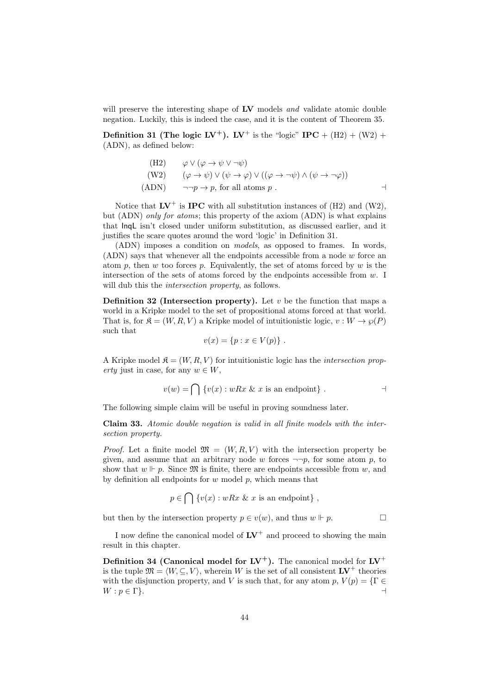will preserve the interesting shape of LV models *and* validate atomic double negation. Luckily, this is indeed the case, and it is the content of Theorem 35.

**Definition 31 (The logic LV<sup>+</sup>). LV<sup>+</sup> is the "logic" IPC** + (H2) + (W2) + (ADN), as defined below:

(H2) 
$$
\varphi \lor (\varphi \to \psi \lor \neg \psi)
$$
  
\n(W2)  $(\varphi \to \psi) \lor (\psi \to \varphi) \lor ((\varphi \to \neg \psi) \land (\psi \to \neg \varphi))$   
\n(ADN)  $\neg \neg p \to p$ , for all atoms  $p$ .

Notice that  $\mathbf{LV}^+$  is **IPC** with all substitution instances of (H2) and (W2). but (ADN) only for atoms; this property of the axiom (ADN) is what explains that InqL isn't closed under uniform substitution, as discussed earlier, and it justifies the scare quotes around the word 'logic' in Definition 31.

(ADN) imposes a condition on models, as opposed to frames. In words, (ADN) says that whenever all the endpoints accessible from a node w force an atom p, then w too forces p. Equivalently, the set of atoms forced by  $w$  is the intersection of the sets of atoms forced by the endpoints accessible from  $w$ . I will dub this the *intersection property*, as follows.

**Definition 32 (Intersection property).** Let  $v$  be the function that maps a world in a Kripke model to the set of propositional atoms forced at that world. That is, for  $\mathfrak{K} = (W, R, V)$  a Kripke model of intuitionistic logic,  $v : W \to \varphi(P)$ such that

$$
v(x) = \{p : x \in V(p)\} .
$$

A Kripke model  $\mathfrak{K} = (W, R, V)$  for intuitionistic logic has the *intersection prop*erty just in case, for any  $w \in W$ ,

$$
v(w) = \bigcap \{v(x) : wRx \& x \text{ is an endpoint}\} .
$$

The following simple claim will be useful in proving soundness later.

Claim 33. Atomic double negation is valid in all finite models with the intersection property.

*Proof.* Let a finite model  $\mathfrak{M} = (W, R, V)$  with the intersection property be given, and assume that an arbitrary node w forces  $\neg\neg p$ , for some atom p, to show that  $w \Vdash p$ . Since  $\mathfrak{M}$  is finite, there are endpoints accessible from w, and by definition all endpoints for  $w$  model  $p$ , which means that

$$
p \in \bigcap \{v(x) : wRx \& x \text{ is an endpoint}\},
$$

but then by the intersection property  $p \in v(w)$ , and thus  $w \Vdash p$ .

I now define the canonical model of  $\mathbf{LV}^+$  and proceed to showing the main result in this chapter.

**Definition 34 (Canonical model for LV<sup>+</sup>).** The canonical model for  $\text{LV}^+$ is the tuple  $\mathfrak{M} = \langle W, \subseteq, V \rangle$ , wherein W is the set of all consistent  $\mathbf{LV}^+$  theories with the disjunction property, and V is such that, for any atom  $p, V(p) = \{ \Gamma \in$  $W: p \in \Gamma$ .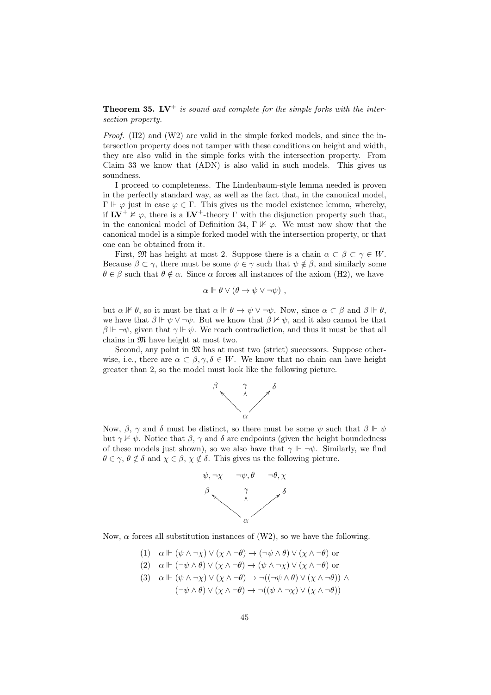**Theorem 35.** LV<sup>+</sup> is sound and complete for the simple forks with the intersection property.

*Proof.*  $(H2)$  and  $(W2)$  are valid in the simple forked models, and since the intersection property does not tamper with these conditions on height and width, they are also valid in the simple forks with the intersection property. From Claim 33 we know that (ADN) is also valid in such models. This gives us soundness.

I proceed to completeness. The Lindenbaum-style lemma needed is proven in the perfectly standard way, as well as the fact that, in the canonical model,  $Γ ⊢ φ$  just in case  $φ ∈ Γ$ . This gives us the model existence lemma, whereby, if  $\mathbf{L}V^+ \not\vDash \varphi$ , there is a  $\mathbf{L}V^+$ -theory  $\Gamma$  with the disjunction property such that, in the canonical model of Definition 34, Γ  $\nvdash \varphi$ . We must now show that the canonical model is a simple forked model with the intersection property, or that one can be obtained from it.

First, M has height at most 2. Suppose there is a chain  $\alpha \subset \beta \subset \gamma \in W$ . Because  $\beta \subset \gamma$ , there must be some  $\psi \in \gamma$  such that  $\psi \notin \beta$ , and similarly some  $\theta \in \beta$  such that  $\theta \notin \alpha$ . Since  $\alpha$  forces all instances of the axiom (H2), we have

$$
\alpha \Vdash \theta \lor (\theta \to \psi \lor \neg \psi) ,
$$

but  $\alpha \nVdash \theta$ , so it must be that  $\alpha \Vdash \theta \to \psi \lor \neg \psi$ . Now, since  $\alpha \subset \beta$  and  $\beta \Vdash \theta$ , we have that  $\beta \Vdash \psi \lor \neg \psi$ . But we know that  $\beta \nvDash \psi$ , and it also cannot be that  $\beta \Vdash \neg \psi$ , given that  $\gamma \Vdash \psi$ . We reach contradiction, and thus it must be that all chains in M have height at most two.

Second, any point in  $\mathfrak{M}$  has at most two (strict) successors. Suppose otherwise, i.e., there are  $\alpha \subset \beta, \gamma, \delta \in W$ . We know that no chain can have height greater than 2, so the model must look like the following picture.



Now,  $\beta$ ,  $\gamma$  and  $\delta$  must be distinct, so there must be some  $\psi$  such that  $\beta \Vdash \psi$ but  $\gamma \nVdash \psi$ . Notice that  $\beta$ ,  $\gamma$  and  $\delta$  are endpoints (given the height boundedness of these models just shown), so we also have that  $\gamma \Vdash \neg \psi$ . Similarly, we find  $\theta \in \gamma$ ,  $\theta \notin \delta$  and  $\chi \in \beta$ ,  $\chi \notin \delta$ . This gives us the following picture.



Now,  $\alpha$  forces all substitution instances of (W2), so we have the following.

(1)  $\alpha \Vdash (\psi \land \neg \chi) \lor (\chi \land \neg \theta) \rightarrow (\neg \psi \land \theta) \lor (\chi \land \neg \theta)$  or (2)  $\alpha \Vdash (\neg \psi \land \theta) \lor (\chi \land \neg \theta) \rightarrow (\psi \land \neg \chi) \lor (\chi \land \neg \theta)$  or (3)  $\alpha \Vdash (\psi \land \neg \chi) \lor (\chi \land \neg \theta) \rightarrow \neg((\neg \psi \land \theta) \lor (\chi \land \neg \theta)) \land$  $(\neg \psi \land \theta) \lor (\chi \land \neg \theta) \rightarrow \neg ((\psi \land \neg \chi) \lor (\chi \land \neg \theta))$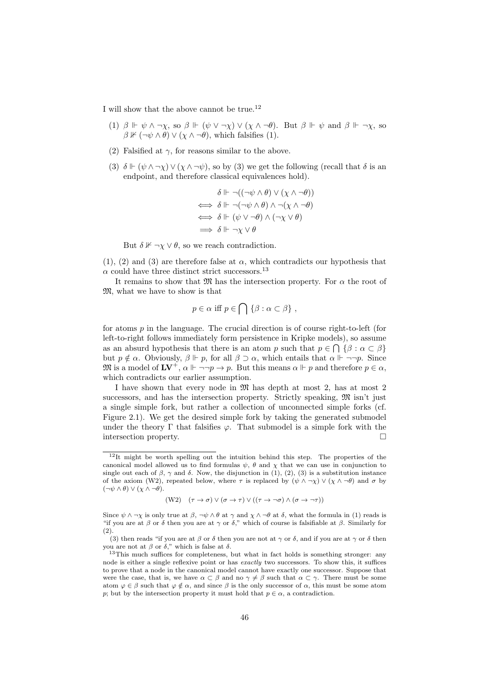I will show that the above cannot be true.<sup>12</sup>

- (1)  $\beta \Vdash \psi \land \neg \chi$ , so  $\beta \Vdash (\psi \lor \neg \chi) \lor (\chi \land \neg \theta)$ . But  $\beta \Vdash \psi$  and  $\beta \Vdash \neg \chi$ , so  $\beta$  I ( $\neg \psi \wedge \theta$ )  $\vee (\chi \wedge \neg \theta)$ , which falsifies (1).
- (2) Falsified at  $\gamma$ , for reasons similar to the above.
- (3)  $\delta \Vdash (\psi \wedge \neg \chi) \vee (\chi \wedge \neg \psi)$ , so by (3) we get the following (recall that  $\delta$  is an endpoint, and therefore classical equivalences hold).

$$
\delta \Vdash \neg((\neg \psi \land \theta) \lor (\chi \land \neg \theta))
$$
  

$$
\iff \delta \Vdash \neg(\neg \psi \land \theta) \land \neg(\chi \land \neg \theta)
$$
  

$$
\iff \delta \Vdash (\psi \lor \neg \theta) \land (\neg \chi \lor \theta)
$$
  

$$
\implies \delta \Vdash \neg \chi \lor \theta
$$

But  $\delta \not\vdash \neg \chi \vee \theta$ , so we reach contradiction.

(1), (2) and (3) are therefore false at  $\alpha$ , which contradicts our hypothesis that  $\alpha$  could have three distinct strict successors.<sup>13</sup>

It remains to show that  $\mathfrak{M}$  has the intersection property. For  $\alpha$  the root of M, what we have to show is that

$$
p \in \alpha \text{ iff } p \in \bigcap \{\beta : \alpha \subset \beta\},\
$$

for atoms  $p$  in the language. The crucial direction is of course right-to-left (for left-to-right follows immediately form persistence in Kripke models), so assume as an absurd hypothesis that there is an atom p such that  $p \in \bigcap \{ \beta : \alpha \subset \beta \}$ but  $p \notin \alpha$ . Obviously,  $\beta \Vdash p$ , for all  $\beta \supset \alpha$ , which entails that  $\alpha \Vdash \neg \neg p$ . Since  $\mathfrak{M}$  is a model of  $\mathbf{L}V^+$ ,  $\alpha \Vdash \neg \neg p \rightarrow p$ . But this means  $\alpha \Vdash p$  and therefore  $p \in \alpha$ , which contradicts our earlier assumption.

I have shown that every node in  $\mathfrak{M}$  has depth at most 2, has at most 2 successors, and has the intersection property. Strictly speaking,  $\mathfrak{M}$  isn't just a single simple fork, but rather a collection of unconnected simple forks (cf. Figure 2.1). We get the desired simple fork by taking the generated submodel under the theory  $\Gamma$  that falsifies  $\varphi$ . That submodel is a simple fork with the intersection property.

$$
(W2) \quad (\tau \to \sigma) \lor (\sigma \to \tau) \lor ((\tau \to \neg \sigma) \land (\sigma \to \neg \tau))
$$

Since  $\psi \wedge \neg \chi$  is only true at  $\beta$ ,  $\neg \psi \wedge \theta$  at  $\gamma$  and  $\chi \wedge \neg \theta$  at  $\delta$ , what the formula in (1) reads is "if you are at  $\beta$  or  $\delta$  then you are at  $\gamma$  or  $\delta$ ," which of course is falsifiable at  $\beta$ . Similarly for (2).

 $12$ It might be worth spelling out the intuition behind this step. The properties of the canonical model allowed us to find formulas  $\psi$ ,  $\theta$  and  $\chi$  that we can use in conjunction to single out each of  $\beta$ ,  $\gamma$  and  $\delta$ . Now, the disjunction in (1), (2), (3) is a substitution instance of the axiom (W2), repeated below, where  $\tau$  is replaced by  $(\psi \wedge \neg \chi) \vee (\chi \wedge \neg \theta)$  and  $\sigma$  by  $(\neg \psi \wedge \theta) \vee (\chi \wedge \neg \theta).$ 

<sup>(3)</sup> then reads "if you are at  $\beta$  or  $\delta$  then you are not at  $\gamma$  or  $\delta$ , and if you are at  $\gamma$  or  $\delta$  then you are not at  $\beta$  or  $\delta$ ," which is false at  $\delta$ .

<sup>&</sup>lt;sup>13</sup>This much suffices for completeness, but what in fact holds is something stronger: any node is either a single reflexive point or has exactly two successors. To show this, it suffices to prove that a node in the canonical model cannot have exactly one successor. Suppose that were the case, that is, we have  $\alpha \subset \beta$  and no  $\gamma \neq \beta$  such that  $\alpha \subset \gamma$ . There must be some atom  $\varphi \in \beta$  such that  $\varphi \notin \alpha$ , and since  $\beta$  is the only successor of  $\alpha$ , this must be some atom p; but by the intersection property it must hold that  $p \in \alpha$ , a contradiction.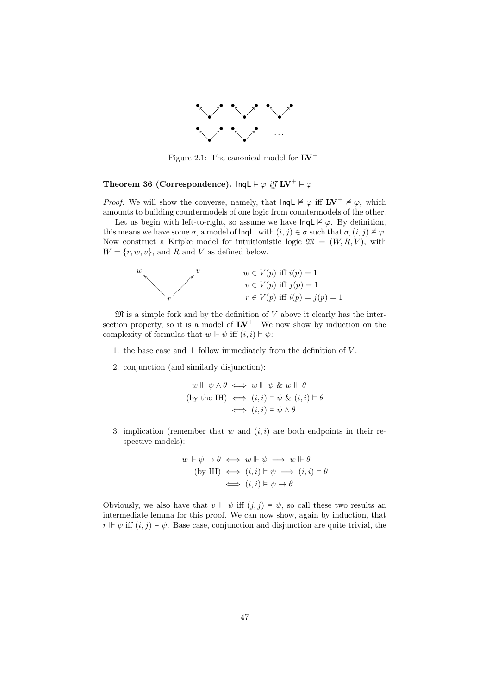

Figure 2.1: The canonical model for  $\mathbf{L} \mathbf{V}^+$ 

Theorem 36 (Correspondence).  $\text{Inql} \models \varphi \text{ iff } LV^+ \models \varphi$ 

*Proof.* We will show the converse, namely, that  $\text{Inql } \nvDash \varphi$  iff  $\text{LV}^+ \nvDash \varphi$ , which amounts to building countermodels of one logic from countermodels of the other.

Let us begin with left-to-right, so assume we have  $\text{Inql } \nvDash \varphi$ . By definition, this means we have some  $\sigma$ , a model of lnqL, with  $(i, j) \in \sigma$  such that  $\sigma$ ,  $(i, j) \not\models \varphi$ . Now construct a Kripke model for intuitionistic logic  $\mathfrak{M} = (W, R, V)$ , with  $W = \{r, w, v\}$ , and R and V as defined below.



 $\mathfrak{M}$  is a simple fork and by the definition of V above it clearly has the intersection property, so it is a model of  $\mathbf{L}V^+$ . We now show by induction on the complexity of formulas that  $w \Vdash \psi$  iff  $(i, i) \models \psi$ :

- 1. the base case and  $\perp$  follow immediately from the definition of V.
- 2. conjunction (and similarly disjunction):

$$
w \Vdash \psi \land \theta \iff w \Vdash \psi \& w \Vdash \theta
$$
  
(by the IH) 
$$
\iff (i, i) \vDash \psi \& (i, i) \vDash \theta
$$

$$
\iff (i, i) \vDash \psi \land \theta
$$

3. implication (remember that w and  $(i, i)$  are both endpoints in their respective models):

$$
w \Vdash \psi \to \theta \iff w \Vdash \psi \implies w \Vdash \theta
$$
  
(by IH) 
$$
\iff (i, i) \vDash \psi \implies (i, i) \vDash \theta
$$

$$
\iff (i, i) \vDash \psi \to \theta
$$

Obviously, we also have that  $v \Vdash \psi$  iff  $(j, j) \models \psi$ , so call these two results an intermediate lemma for this proof. We can now show, again by induction, that  $r \Vdash \psi$  iff  $(i, j) \models \psi$ . Base case, conjunction and disjunction are quite trivial, the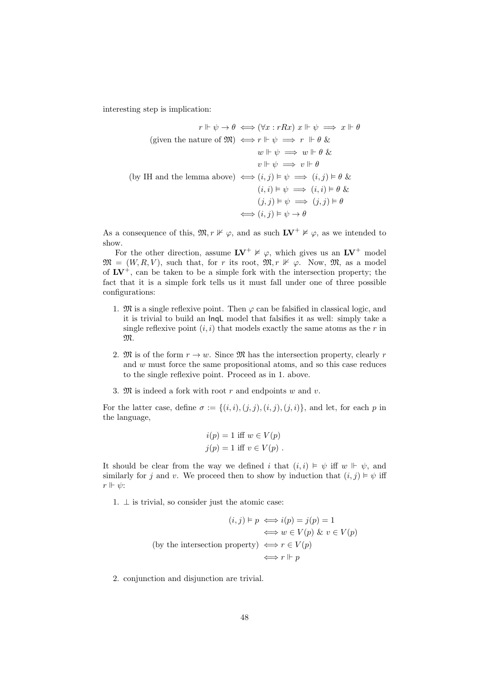interesting step is implication:

$$
r \Vdash \psi \to \theta \iff (\forall x : rRx) \ x \Vdash \psi \implies x \Vdash \theta
$$
  
(given the nature of  $\mathfrak{M}$ )  $\iff$   $r \Vdash \psi \implies r \Vdash \theta \&$   
 $w \Vdash \psi \implies w \Vdash \theta \&$   
 $v \Vdash \psi \implies v \Vdash \theta$   
(by IH and the lemma above)  $\iff (i, j) \vDash \psi \implies (i, j) \vDash \theta \&$   
 $(i, i) \vDash \psi \implies (i, i) \vDash \theta \&$   
 $(j, j) \vDash \psi \implies (j, j) \vDash \theta$   
 $\iff (i, j) \vDash \psi \implies (j, j) \vDash \theta$ 

As a consequence of this,  $\mathfrak{M}, r \not\vdash \varphi$ , and as such  $\mathbf{LV}^+ \not\models \varphi$ , as we intended to show.

For the other direction, assume  $\mathbf{LV}^+ \not\vDash \varphi$ , which gives us an  $\mathbf{LV}^+$  model  $\mathfrak{M} = (W, R, V)$ , such that, for r its root,  $\mathfrak{M}, r \not\Vdash \varphi$ . Now,  $\mathfrak{M}, \text{ as a model}$ of  $\mathbf{LV}^+$ , can be taken to be a simple fork with the intersection property; the fact that it is a simple fork tells us it must fall under one of three possible configurations:

- 1. M is a single reflexive point. Then  $\varphi$  can be falsified in classical logic, and it is trivial to build an InqL model that falsifies it as well: simply take a single reflexive point  $(i, i)$  that models exactly the same atoms as the r in M.
- 2. M is of the form  $r \to w$ . Since M has the intersection property, clearly r and w must force the same propositional atoms, and so this case reduces to the single reflexive point. Proceed as in 1. above.
- 3.  $\mathfrak{M}$  is indeed a fork with root r and endpoints w and v.

For the latter case, define  $\sigma := \{(i, i), (j, j), (i, j), (j, i)\}\$ , and let, for each p in the language,

$$
i(p) = 1
$$
 iff  $w \in V(p)$   

$$
j(p) = 1
$$
 iff  $v \in V(p)$ .

It should be clear from the way we defined i that  $(i, i) \models \psi$  iff  $w \models \psi$ , and similarly for j and v. We proceed then to show by induction that  $(i, j) \models \psi$  iff  $r \Vdash \psi$ :

1.  $\perp$  is trivial, so consider just the atomic case:

$$
(i, j) \models p \iff i(p) = j(p) = 1
$$
  

$$
\iff w \in V(p) \& v \in V(p)
$$
  
(by the intersection property) 
$$
\iff r \in V(p)
$$
  

$$
\iff r \Vdash p
$$

2. conjunction and disjunction are trivial.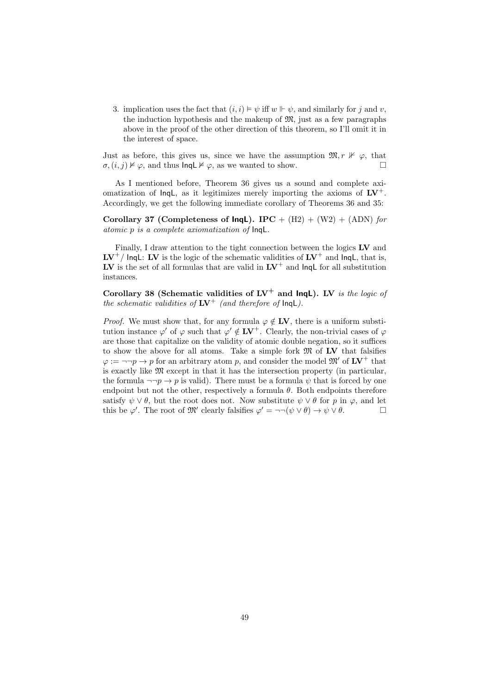3. implication uses the fact that  $(i, i) \models \psi$  iff  $w \Vdash \psi$ , and similarly for j and v, the induction hypothesis and the makeup of  $\mathfrak{M}$ , just as a few paragraphs above in the proof of the other direction of this theorem, so I'll omit it in the interest of space.

Just as before, this gives us, since we have the assumption  $\mathfrak{M}, r \not\vdash \varphi$ , that  $\sigma$ ,  $(i, j) \nvDash \varphi$ , and thus  $\text{InqL} \nvDash \varphi$ , as we wanted to show.

As I mentioned before, Theorem 36 gives us a sound and complete axiomatization of  $\text{Inql},$  as it legitimizes merely importing the axioms of  $\text{LV}^+$ . Accordingly, we get the following immediate corollary of Theorems 36 and 35:

Corollary 37 (Completeness of  $InqL$ ). IPC +  $(H2) + (W2) + (ADN)$  for atomic p is a complete axiomatization of InqL.

Finally, I draw attention to the tight connection between the logics LV and  $L V^{+}/$  lngl: LV is the logic of the schematic validities of  $L V^{+}$  and lngl, that is, LV is the set of all formulas that are valid in  $LV^+$  and  $InqL$  for all substitution instances.

Corollary 38 (Schematic validities of  $LV^+$  and  $InqL$ ). LV is the logic of the schematic validities of  $\mathbf{LV}^+$  (and therefore of  $\mathsf{Inql}.$ ).

*Proof.* We must show that, for any formula  $\varphi \notin LV$ , there is a uniform substitution instance  $\varphi'$  of  $\varphi$  such that  $\varphi' \notin LV^+$ . Clearly, the non-trivial cases of  $\varphi$ are those that capitalize on the validity of atomic double negation, so it suffices to show the above for all atoms. Take a simple fork  $\mathfrak M$  of  $\mathrm{LV}$  that falsifies  $\varphi := \neg \neg p \rightarrow p$  for an arbitrary atom p, and consider the model  $\mathfrak{M}'$  of  $\mathbf{LV}^+$  that is exactly like  $\mathfrak{M}$  except in that it has the intersection property (in particular, the formula  $\neg\neg p \rightarrow p$  is valid). There must be a formula  $\psi$  that is forced by one endpoint but not the other, respectively a formula  $\theta$ . Both endpoints therefore satisfy  $\psi \vee \theta$ , but the root does not. Now substitute  $\psi \vee \theta$  for p in  $\varphi$ , and let this be  $\varphi'$ . The root of  $\mathfrak{M}'$  clearly falsifies  $\varphi' = \neg \neg (\psi \lor \theta) \rightarrow \psi \lor \theta$ .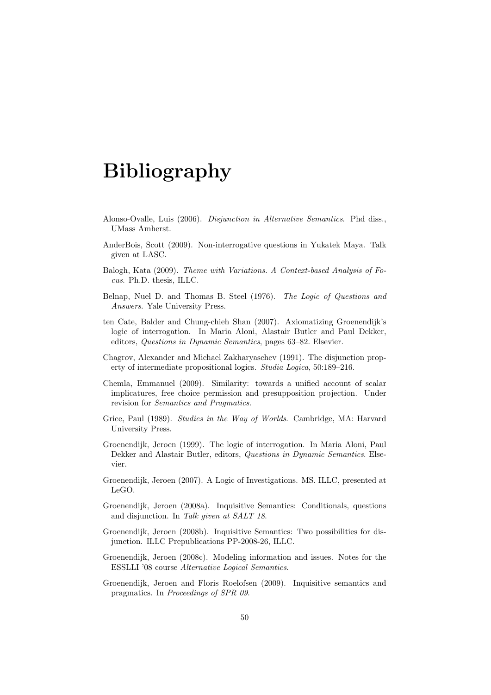## Bibliography

- Alonso-Ovalle, Luis (2006). Disjunction in Alternative Semantics. Phd diss., UMass Amherst.
- AnderBois, Scott (2009). Non-interrogative questions in Yukatek Maya. Talk given at LASC.
- Balogh, Kata (2009). Theme with Variations. A Context-based Analysis of Focus. Ph.D. thesis, ILLC.
- Belnap, Nuel D. and Thomas B. Steel (1976). The Logic of Questions and Answers. Yale University Press.
- ten Cate, Balder and Chung-chieh Shan (2007). Axiomatizing Groenendijk's logic of interrogation. In Maria Aloni, Alastair Butler and Paul Dekker, editors, Questions in Dynamic Semantics, pages 63–82. Elsevier.
- Chagrov, Alexander and Michael Zakharyaschev (1991). The disjunction property of intermediate propositional logics. Studia Logica, 50:189–216.
- Chemla, Emmanuel (2009). Similarity: towards a unified account of scalar implicatures, free choice permission and presupposition projection. Under revision for Semantics and Pragmatics.
- Grice, Paul (1989). *Studies in the Way of Worlds*. Cambridge, MA: Harvard University Press.
- Groenendijk, Jeroen (1999). The logic of interrogation. In Maria Aloni, Paul Dekker and Alastair Butler, editors, Questions in Dynamic Semantics. Elsevier.
- Groenendijk, Jeroen (2007). A Logic of Investigations. MS. ILLC, presented at LeGO.
- Groenendijk, Jeroen (2008a). Inquisitive Semantics: Conditionals, questions and disjunction. In Talk given at SALT 18.
- Groenendijk, Jeroen (2008b). Inquisitive Semantics: Two possibilities for disjunction. ILLC Prepublications PP-2008-26, ILLC.
- Groenendijk, Jeroen (2008c). Modeling information and issues. Notes for the ESSLLI '08 course Alternative Logical Semantics.
- Groenendijk, Jeroen and Floris Roelofsen (2009). Inquisitive semantics and pragmatics. In Proceedings of SPR 09.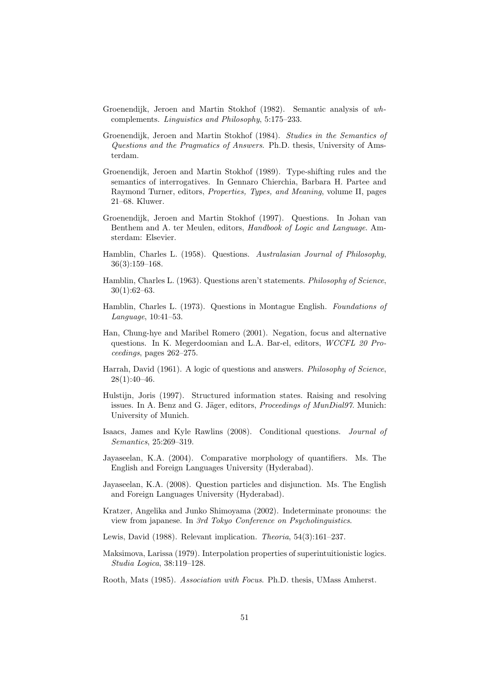- Groenendijk, Jeroen and Martin Stokhof (1982). Semantic analysis of whcomplements. Linguistics and Philosophy, 5:175–233.
- Groenendijk, Jeroen and Martin Stokhof (1984). Studies in the Semantics of Questions and the Pragmatics of Answers. Ph.D. thesis, University of Amsterdam.
- Groenendijk, Jeroen and Martin Stokhof (1989). Type-shifting rules and the semantics of interrogatives. In Gennaro Chierchia, Barbara H. Partee and Raymond Turner, editors, Properties, Types, and Meaning, volume II, pages 21–68. Kluwer.
- Groenendijk, Jeroen and Martin Stokhof (1997). Questions. In Johan van Benthem and A. ter Meulen, editors, Handbook of Logic and Language. Amsterdam: Elsevier.
- Hamblin, Charles L. (1958). Questions. Australasian Journal of Philosophy, 36(3):159–168.
- Hamblin, Charles L. (1963). Questions aren't statements. Philosophy of Science, 30(1):62–63.
- Hamblin, Charles L. (1973). Questions in Montague English. Foundations of Language, 10:41–53.
- Han, Chung-hye and Maribel Romero (2001). Negation, focus and alternative questions. In K. Megerdoomian and L.A. Bar-el, editors, WCCFL 20 Proceedings, pages 262–275.
- Harrah, David (1961). A logic of questions and answers. Philosophy of Science, 28(1):40–46.
- Hulstijn, Joris (1997). Structured information states. Raising and resolving issues. In A. Benz and G. Jäger, editors, Proceedings of MunDial97. Munich: University of Munich.
- Isaacs, James and Kyle Rawlins (2008). Conditional questions. Journal of Semantics, 25:269–319.
- Jayaseelan, K.A. (2004). Comparative morphology of quantifiers. Ms. The English and Foreign Languages University (Hyderabad).
- Jayaseelan, K.A. (2008). Question particles and disjunction. Ms. The English and Foreign Languages University (Hyderabad).
- Kratzer, Angelika and Junko Shimoyama (2002). Indeterminate pronouns: the view from japanese. In 3rd Tokyo Conference on Psycholinguistics.
- Lewis, David (1988). Relevant implication. Theoria, 54(3):161–237.
- Maksimova, Larissa (1979). Interpolation properties of superintuitionistic logics. Studia Logica, 38:119–128.
- Rooth, Mats (1985). Association with Focus. Ph.D. thesis, UMass Amherst.